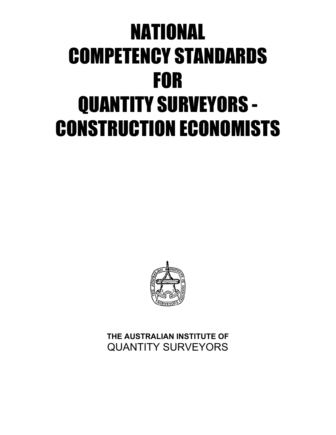# NATIONAL COMPETENCY STANDARDS FOR QUANTITY SURVEYORS - CONSTRUCTION ECONOMISTS



**THE AUSTRALIAN INSTITUTE OF** QUANTITY SURVEYORS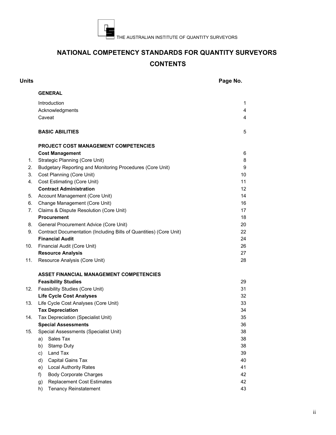

# **NATIONAL COMPETENCY STANDARDS FOR QUANTITY SURVEYORS CONTENTS**

| <b>Units</b> |                                                                                              | Page No. |
|--------------|----------------------------------------------------------------------------------------------|----------|
|              | <b>GENERAL</b>                                                                               |          |
|              | <b>Introduction</b>                                                                          | 1        |
|              | Acknowledgments                                                                              | 4        |
|              | Caveat                                                                                       | 4        |
|              |                                                                                              |          |
|              | <b>BASIC ABILITIES</b>                                                                       | 5        |
|              | <b>PROJECT COST MANAGEMENT COMPETENCIES</b>                                                  |          |
|              | <b>Cost Management</b>                                                                       | 6        |
| 1.           | <b>Strategic Planning (Core Unit)</b>                                                        | 8        |
| 2.           | Budgetary Reporting and Monitoring Procedures (Core Unit)                                    | 9        |
| 3.           | Cost Planning (Core Unit)                                                                    | 10       |
| 4.           | Cost Estimating (Core Unit)                                                                  | 11       |
|              | <b>Contract Administration</b>                                                               | 12       |
| 5.           | Account Management (Core Unit)                                                               | 14       |
| 6.           | Change Management (Core Unit)                                                                | 16       |
| 7.           | Claims & Dispute Resolution (Core Unit)                                                      | 17       |
|              | <b>Procurement</b>                                                                           | 18       |
| 8.<br>9.     | General Procurement Advice (Core Unit)                                                       | 20<br>22 |
|              | Contract Documentation (Including Bills of Quantities) (Core Unit)<br><b>Financial Audit</b> | 24       |
| 10.          | Financial Audit (Core Unit)                                                                  | 26       |
|              | <b>Resource Analysis</b>                                                                     | 27       |
| 11.          | Resource Analysis (Core Unit)                                                                | 28       |
|              |                                                                                              |          |
|              | <b>ASSET FINANCIAL MANAGEMENT COMPETENCIES</b>                                               |          |
|              | <b>Feasibility Studies</b>                                                                   | 29       |
| 12.          | Feasibility Studies (Core Unit)                                                              | 31       |
|              | <b>Life Cycle Cost Analyses</b>                                                              | 32       |
| 13.          | Life Cycle Cost Analyses (Core Unit)                                                         | 33       |
|              | <b>Tax Depreciation</b>                                                                      | 34       |
| 14.          | Tax Depreciation (Specialist Unit)                                                           | 35       |
|              | <b>Special Assessments</b>                                                                   | 36       |
| 15.          | Special Assessments (Specialist Unit)                                                        | 38       |
|              | Sales Tax<br>a)                                                                              | 38       |
|              | Stamp Duty<br>b)                                                                             | 38       |
|              | Land Tax<br>c)<br>Capital Gains Tax                                                          | 39<br>40 |
|              | d)<br><b>Local Authority Rates</b>                                                           | 41       |
|              | e)<br><b>Body Corporate Charges</b><br>f)                                                    | 42       |
|              | <b>Replacement Cost Estimates</b><br>g)                                                      | 42       |
|              | h)<br><b>Tenancy Reinstatement</b>                                                           | 43       |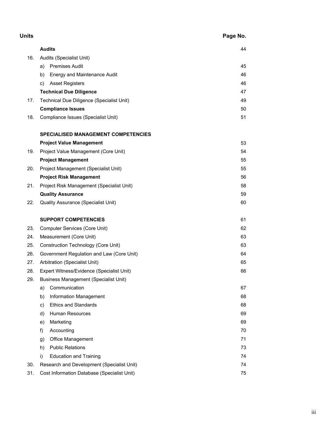| <b>Units</b> |                                                   | Page No. |  |  |
|--------------|---------------------------------------------------|----------|--|--|
|              | <b>Audits</b>                                     | 44       |  |  |
| 16.          | Audits (Specialist Unit)                          |          |  |  |
|              | <b>Premises Audit</b><br>a)                       | 45       |  |  |
|              | Energy and Maintenance Audit<br>b)                | 46       |  |  |
|              | <b>Asset Registers</b><br>C)                      | 46       |  |  |
|              | <b>Technical Due Diligence</b>                    | 47       |  |  |
| 17.          | Technical Due Diligence (Specialist Unit)         | 49       |  |  |
|              | <b>Compliance Issues</b>                          | 50       |  |  |
| 18.          | Compliance Issues (Specialist Unit)               | 51       |  |  |
|              | <b>SPECIALISED MANAGEMENT COMPETENCIES</b>        |          |  |  |
|              | <b>Project Value Management</b>                   | 53       |  |  |
| 19.          | Project Value Management (Core Unit)              | 54       |  |  |
|              | <b>Project Management</b>                         | 55       |  |  |
| 20.          | Project Management (Specialist Unit)              | 55       |  |  |
|              | <b>Project Risk Management</b>                    | 56       |  |  |
| 21.          | Project Risk Management (Specialist Unit)         | 58       |  |  |
|              | <b>Quality Assurance</b>                          | 59       |  |  |
| 22.          | <b>Quality Assurance (Specialist Unit)</b>        | 60       |  |  |
|              | <b>SUPPORT COMPETENCIES</b>                       | 61       |  |  |
| 23.          | Computer Services (Core Unit)                     | 62       |  |  |
| 24.          | Measurement (Core Unit)                           | 63       |  |  |
| 25.          | <b>Construction Technology (Core Unit)</b>        | 63       |  |  |
| 26.          | Government Regulation and Law (Core Unit)         | 64       |  |  |
| 27.          | Arbitration (Specialist Unit)                     | 65       |  |  |
| 28.          | Expert Witness/Evidence (Specialist Unit)         | 66       |  |  |
| 29.          | <b>Business Management (Specialist Unit)</b>      |          |  |  |
|              | Communication<br>a)                               | 67       |  |  |
|              | Information Management<br>b)                      | 68       |  |  |
|              | <b>Ethics and Standards</b><br>C)                 | 68       |  |  |
|              | Human Resources<br>d)                             | 69       |  |  |
|              | Marketing<br>e)                                   | 69       |  |  |
|              | Accounting<br>f)                                  | 70       |  |  |
|              | Office Management<br>g)                           | 71       |  |  |
|              | <b>Public Relations</b><br>h)                     | 73       |  |  |
|              | <b>Education and Training</b><br>i)               | 74       |  |  |
| 30.          | Research and Development (Specialist Unit)<br>74  |          |  |  |
| 31.          | Cost Information Database (Specialist Unit)<br>75 |          |  |  |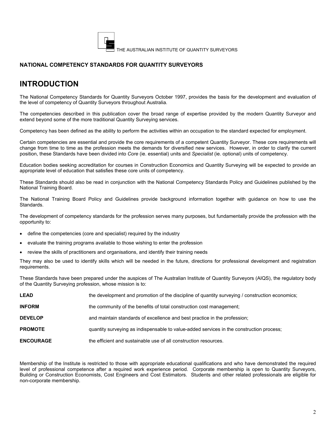

## **NATIONAL COMPETENCY STANDARDS FOR QUANTITY SURVEYORS**

# **INTRODUCTION**

The National Competency Standards for Quantity Surveyors October 1997, provides the basis for the development and evaluation of the level of competency of Quantity Surveyors throughout Australia.

The competencies described in this publication cover the broad range of expertise provided by the modern Quantity Surveyor and extend beyond some of the more traditional Quantity Surveying services.

Competency has been defined as the ability to perform the activities within an occupation to the standard expected for employment.

Certain competencies are essential and provide the core requirements of a competent Quantity Surveyor. These core requirements will change from time to time as the profession meets the demands for diversified new services. However, in order to clarify the current position, these Standards have been divided into *Core* (ie. essential) units and *Specialist* (ie. optional) units of competency.

Education bodies seeking accreditation for courses in Construction Economics and Quantity Surveying will be expected to provide an appropriate level of education that satisfies these core units of competency.

These Standards should also be read in conjunction with the National Competency Standards Policy and Guidelines published by the National Training Board.

The National Training Board Policy and Guidelines provide background information together with guidance on how to use the Standards.

The development of competency standards for the profession serves many purposes, but fundamentally provide the profession with the opportunity to:

- define the competencies (core and specialist) required by the industry
- evaluate the training programs available to those wishing to enter the profession
- review the skills of practitioners and organisations, and identify their training needs

They may also be used to identify skills which will be needed in the future, directions for professional development and registration requirements.

These Standards have been prepared under the auspices of The Australian Institute of Quantity Surveyors (AIQS), the regulatory body of the Quantity Surveying profession, whose mission is to:

| LEAD             | the development and promotion of the discipline of quantity surveying / construction economics; |
|------------------|-------------------------------------------------------------------------------------------------|
| <b>INFORM</b>    | the community of the benefits of total construction cost management;                            |
| <b>DEVELOP</b>   | and maintain standards of excellence and best practice in the profession;                       |
| <b>PROMOTE</b>   | quantity surveying as indispensable to value-added services in the construction process;        |
| <b>ENCOURAGE</b> | the efficient and sustainable use of all construction resources.                                |

Membership of the Institute is restricted to those with appropriate educational qualifications and who have demonstrated the required level of professional competence after a required work experience period. Corporate membership is open to Quantity Surveyors, Building or Construction Economists, Cost Engineers and Cost Estimators. Students and other related professionals are eligible for non-corporate membership.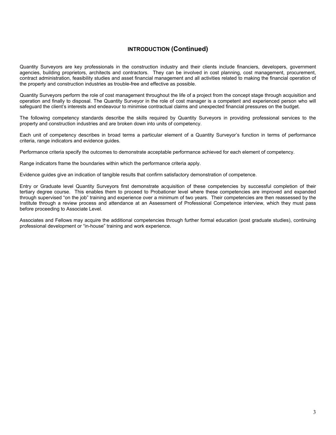## **INTRODUCTION (Continued)**

Quantity Surveyors are key professionals in the construction industry and their clients include financiers, developers, government agencies, building proprietors, architects and contractors. They can be involved in cost planning, cost management, procurement, contract administration, feasibility studies and asset financial management and all activities related to making the financial operation of the property and construction industries as trouble-free and effective as possible.

Quantity Surveyors perform the role of cost management throughout the life of a project from the concept stage through acquisition and operation and finally to disposal. The Quantity Surveyor in the role of cost manager is a competent and experienced person who will safeguard the client's interests and endeavour to minimise contractual claims and unexpected financial pressures on the budget.

The following competency standards describe the skills required by Quantity Surveyors in providing professional services to the property and construction industries and are broken down into units of competency.

Each unit of competency describes in broad terms a particular element of a Quantity Surveyor's function in terms of performance criteria, range indicators and evidence guides.

Performance criteria specify the outcomes to demonstrate acceptable performance achieved for each element of competency.

Range indicators frame the boundaries within which the performance criteria apply.

Evidence guides give an indication of tangible results that confirm satisfactory demonstration of competence.

Entry or Graduate level Quantity Surveyors first demonstrate acquisition of these competencies by successful completion of their tertiary degree course. This enables them to proceed to Probationer level where these competencies are improved and expanded through supervised "on the job" training and experience over a minimum of two years. Their competencies are then reassessed by the Institute through a review process and attendance at an Assessment of Professional Competence interview, which they must pass before proceeding to Associate Level.

Associates and Fellows may acquire the additional competencies through further formal education (post graduate studies), continuing professional development or "in-house" training and work experience.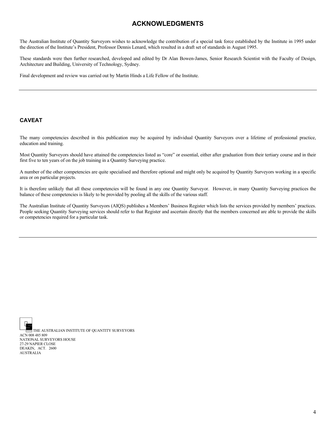# **ACKNOWLEDGMENTS**

The Australian Institute of Quantity Surveyors wishes to acknowledge the contribution of a special task force established by the Institute in 1995 under the direction of the Institute's President, Professor Dennis Lenard, which resulted in a draft set of standards in August 1995.

These standards were then further researched, developed and edited by Dr Alan Bowen-James, Senior Research Scientist with the Faculty of Design, Architecture and Building, University of Technology, Sydney.

Final development and review was carried out by Martin Hinds a Life Fellow of the Institute.

#### **CAVEAT**

The many competencies described in this publication may be acquired by individual Quantity Surveyors over a lifetime of professional practice, education and training.

Most Quantity Surveyors should have attained the competencies listed as "core" or essential, either after graduation from their tertiary course and in their first five to ten years of on the job training in a Quantity Surveying practice.

A number of the other competencies are quite specialised and therefore optional and might only be acquired by Quantity Surveyors working in a specific area or on particular projects.

It is therefore unlikely that all these competencies will be found in any one Quantity Surveyor. However, in many Quantity Surveying practices the balance of these competencies is likely to be provided by pooling all the skills of the various staff.

The Australian Institute of Quantity Surveyors (AIQS) publishes a Members' Business Register which lists the services provided by members' practices. People seeking Quantity Surveying services should refer to that Register and ascertain directly that the members concerned are able to provide the skills or competencies required for a particular task.

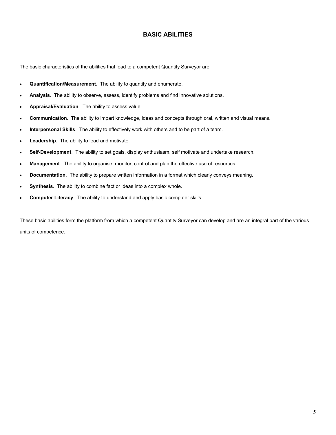## **BASIC ABILITIES**

The basic characteristics of the abilities that lead to a competent Quantity Surveyor are:

- **Quantification/Measurement**. The ability to quantify and enumerate.
- **Analysis**. The ability to observe, assess, identify problems and find innovative solutions.
- **Appraisal/Evaluation**. The ability to assess value.
- **Communication**. The ability to impart knowledge, ideas and concepts through oral, written and visual means.
- **Interpersonal Skills**. The ability to effectively work with others and to be part of a team.
- **Leadership**. The ability to lead and motivate.
- **Self-Development**. The ability to set goals, display enthusiasm, self motivate and undertake research.
- **Management**. The ability to organise, monitor, control and plan the effective use of resources.
- **Documentation**. The ability to prepare written information in a format which clearly conveys meaning.
- **Synthesis**. The ability to combine fact or ideas into a complex whole.
- **Computer Literacy**. The ability to understand and apply basic computer skills.

These basic abilities form the platform from which a competent Quantity Surveyor can develop and are an integral part of the various units of competence.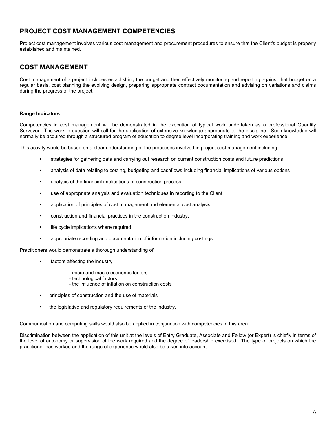Project cost management involves various cost management and procurement procedures to ensure that the Client's budget is properly established and maintained.

# **COST MANAGEMENT**

Cost management of a project includes establishing the budget and then effectively monitoring and reporting against that budget on a regular basis, cost planning the evolving design, preparing appropriate contract documentation and advising on variations and claims during the progress of the project.

#### **Range Indicators**

Competencies in cost management will be demonstrated in the execution of typical work undertaken as a professional Quantity Surveyor. The work in question will call for the application of extensive knowledge appropriate to the discipline. Such knowledge will normally be acquired through a structured program of education to degree level incorporating training and work experience.

This activity would be based on a clear understanding of the processes involved in project cost management including:

- strategies for gathering data and carrying out research on current construction costs and future predictions
- analysis of data relating to costing, budgeting and cashflows including financial implications of various options
- analysis of the financial implications of construction process
- use of appropriate analysis and evaluation techniques in reporting to the Client
- application of principles of cost management and elemental cost analysis
- construction and financial practices in the construction industry.
- life cycle implications where required
- appropriate recording and documentation of information including costings

Practitioners would demonstrate a thorough understanding of:

- factors affecting the industry
	- micro and macro economic factors
	- technological factors
	- the influence of inflation on construction costs
- principles of construction and the use of materials
- the legislative and regulatory requirements of the industry.

Communication and computing skills would also be applied in conjunction with competencies in this area.

Discrimination between the application of this unit at the levels of Entry Graduate, Associate and Fellow (or Expert) is chiefly in terms of the level of autonomy or supervision of the work required and the degree of leadership exercised. The type of projects on which the practitioner has worked and the range of experience would also be taken into account.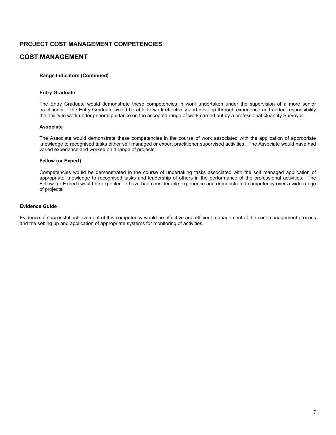## **COST MANAGEMENT**

#### **Range Indicators (Continued)**

#### **Entry Graduate**

The Entry Graduate would demonstrate these competencies in work undertaken under the supervision of a more senior practitioner. The Entry Graduate would be able to work effectively and develop through experience and added responsibility the ability to work under general guidance on the accepted range of work carried out by a professional Quantity Surveyor.

#### **Associate**

The Associate would demonstrate these competencies in the course of work associated with the application of appropriate knowledge to recognised tasks either self managed or expert practitioner supervised activities. The Associate would have had varied experience and worked on a range of projects.

#### **Fellow (or Expert)**

Competencies would be demonstrated in the course of undertaking tasks associated with the self managed application of appropriate knowledge to recognised tasks and leadership of others in the performance of the professional activities. The Fellow (or Expert) would be expected to have had considerable experience and demonstrated competency over a wide range of projects.

#### **Evidence Guide**

Evidence of successful achievement of this competency would be effective and efficient management of the cost management process and the setting up and application of appropriate systems for monitoring of activities.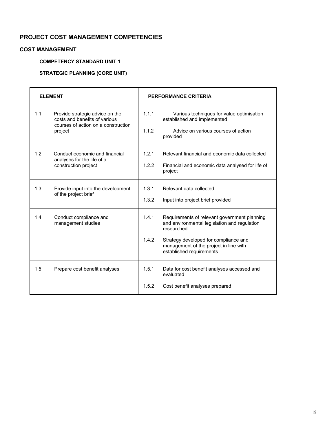## **COST MANAGEMENT**

## **COMPETENCY STANDARD UNIT 1**

## **STRATEGIC PLANNING (CORE UNIT)**

| <b>ELEMENT</b> |                                                                                                                    |                | <b>PERFORMANCE CRITERIA</b>                                                                                                                                                                                               |
|----------------|--------------------------------------------------------------------------------------------------------------------|----------------|---------------------------------------------------------------------------------------------------------------------------------------------------------------------------------------------------------------------------|
| 1.1            | Provide strategic advice on the<br>costs and benefits of various<br>courses of action on a construction<br>project | 1.1.1<br>1.1.2 | Various techniques for value optimisation<br>established and implemented<br>Advice on various courses of action<br>provided                                                                                               |
| 1.2            | Conduct economic and financial<br>analyses for the life of a<br>construction project                               | 1.2.1<br>1.2.2 | Relevant financial and economic data collected<br>Financial and economic data analysed for life of<br>project                                                                                                             |
| 1.3            | Provide input into the development<br>of the project brief                                                         | 1.3.1<br>1.3.2 | Relevant data collected<br>Input into project brief provided                                                                                                                                                              |
| 1.4            | Conduct compliance and<br>management studies                                                                       | 1.4.1<br>1.4.2 | Requirements of relevant government planning<br>and environmental legislation and regulation<br>researched<br>Strategy developed for compliance and<br>management of the project in line with<br>established requirements |
| 1.5            | Prepare cost benefit analyses                                                                                      | 1.5.1<br>1.5.2 | Data for cost benefit analyses accessed and<br>evaluated<br>Cost benefit analyses prepared                                                                                                                                |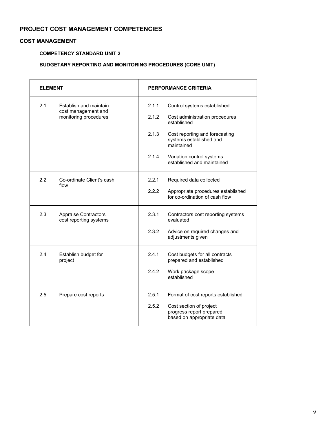## **COST MANAGEMENT**

## **COMPETENCY STANDARD UNIT 2**

## **BUDGETARY REPORTING AND MONITORING PROCEDURES (CORE UNIT)**

| <b>ELEMENT</b> |                                                       | <b>PERFORMANCE CRITERIA</b> |                                                                                  |  |
|----------------|-------------------------------------------------------|-----------------------------|----------------------------------------------------------------------------------|--|
| 2.1            | Establish and maintain<br>cost management and         | 2.1.1                       | Control systems established                                                      |  |
|                | monitoring procedures                                 | 2.1.2                       | Cost administration procedures<br>established                                    |  |
|                |                                                       | 2.1.3                       | Cost reporting and forecasting<br>systems established and<br>maintained          |  |
|                |                                                       | 2.1.4                       | Variation control systems<br>established and maintained                          |  |
| 2.2            | Co-ordinate Client's cash<br>flow                     | 2.2.1                       | Required data collected                                                          |  |
|                |                                                       | 2.2.2                       | Appropriate procedures established<br>for co-ordination of cash flow             |  |
| 2.3            | <b>Appraise Contractors</b><br>cost reporting systems | 2.3.1                       | Contractors cost reporting systems<br>evaluated                                  |  |
|                |                                                       | 2.3.2                       | Advice on required changes and<br>adjustments given                              |  |
| 2.4            | Establish budget for<br>project                       | 2.4.1                       | Cost budgets for all contracts<br>prepared and established                       |  |
|                |                                                       | 2.4.2                       | Work package scope<br>established                                                |  |
| 2.5            | Prepare cost reports                                  | 2.5.1                       | Format of cost reports established                                               |  |
|                |                                                       | 2.5.2                       | Cost section of project<br>progress report prepared<br>based on appropriate data |  |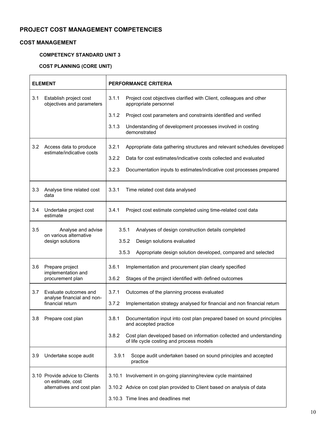## **COST MANAGEMENT**

## **COMPETENCY STANDARD UNIT 3**

## **COST PLANNING (CORE UNIT)**

| <b>ELEMENT</b>                                                          | <b>PERFORMANCE CRITERIA</b>                                                                                                                                                |
|-------------------------------------------------------------------------|----------------------------------------------------------------------------------------------------------------------------------------------------------------------------|
| 3.1<br>Establish project cost<br>objectives and parameters              | 3.1.1<br>Project cost objectives clarified with Client, colleagues and other<br>appropriate personnel                                                                      |
|                                                                         | 3.1.2<br>Project cost parameters and constraints identified and verified                                                                                                   |
|                                                                         | 3.1.3<br>Understanding of development processes involved in costing<br>demonstrated                                                                                        |
| 3.2<br>Access data to produce                                           | 3.2.1<br>Appropriate data gathering structures and relevant schedules developed                                                                                            |
| estimate/indicative costs                                               | 3.2.2<br>Data for cost estimates/indicative costs collected and evaluated                                                                                                  |
|                                                                         | 3.2.3<br>Documentation inputs to estimates/indicative cost processes prepared                                                                                              |
| Analyse time related cost<br>3.3<br>data                                | 3.3.1<br>Time related cost data analysed                                                                                                                                   |
| 3.4<br>Undertake project cost<br>estimate                               | 3.4.1<br>Project cost estimate completed using time-related cost data                                                                                                      |
| 3.5<br>Analyse and advise<br>on various alternative<br>design solutions | 3.5.1<br>Analyses of design construction details completed<br>3.5.2<br>Design solutions evaluated<br>3.5.3<br>Appropriate design solution developed, compared and selected |
| 3.6<br>Prepare project<br>implementation and<br>procurement plan        | 3.6.1<br>Implementation and procurement plan clearly specified<br>3.6.2<br>Stages of the project identified with defined outcomes                                          |
| 3.7<br>Evaluate outcomes and                                            | Outcomes of the planning process evaluated<br>3.7.1                                                                                                                        |
| analyse financial and non-<br>financial return                          | Implementation strategy analysed for financial and non financial return<br>3.7.2                                                                                           |
| 3.8<br>Prepare cost plan                                                | 3.8.1<br>Documentation input into cost plan prepared based on sound principles<br>and accepted practice                                                                    |
|                                                                         | 3.8.2<br>Cost plan developed based on information collected and understanding<br>of life cycle costing and process models                                                  |
| Undertake scope audit<br>3.9                                            | Scope audit undertaken based on sound principles and accepted<br>3.9.1<br>practice                                                                                         |
| 3.10 Provide advice to Clients                                          | 3.10.1 Involvement in on-going planning/review cycle maintained                                                                                                            |
| on estimate, cost<br>alternatives and cost plan                         | 3.10.2 Advice on cost plan provided to Client based on analysis of data                                                                                                    |
|                                                                         | 3.10.3 Time lines and deadlines met                                                                                                                                        |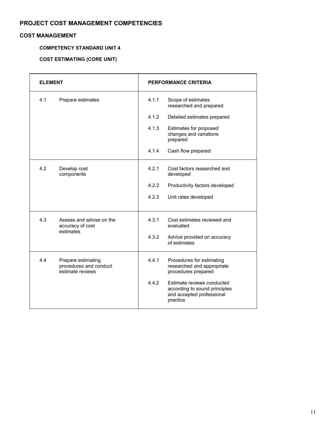## **COST MANAGEMENT**

## **COMPETENCY STANDARD UNIT 4**

# **COST ESTIMATING (CORE UNIT)**

| <b>ELEMENT</b> |                                                                  | <b>PERFORMANCE CRITERIA</b> |                                                                                                      |
|----------------|------------------------------------------------------------------|-----------------------------|------------------------------------------------------------------------------------------------------|
| 4.1            | Prepare estimates                                                | 4.1.1                       | Scope of estimates<br>researched and prepared                                                        |
|                |                                                                  | 4.1.2                       | Detailed estimates prepared                                                                          |
|                |                                                                  | 4.1.3                       | Estimates for proposed<br>changes and variations<br>prepared                                         |
|                |                                                                  | 4.1.4                       | Cash flow prepared                                                                                   |
| 4.2            | Develop cost<br>components                                       | 4.2.1                       | Cost factors researched and<br>developed                                                             |
|                |                                                                  | 4.2.2                       | Productivity factors developed                                                                       |
|                |                                                                  | 4.2.3                       | Unit rates developed                                                                                 |
| 4.3            | Assess and advise on the<br>accuracy of cost<br>estimates        | 4.3.1                       | Cost estimates reviewed and<br>evaluated                                                             |
|                |                                                                  | 4.3.2                       | Advice provided on accuracy<br>of estimates                                                          |
| 4.4            | Prepare estimating<br>procedures and conduct<br>estimate reviews | 4.4.1                       | Procedures for estimating<br>researched and appropriate<br>procedures prepared                       |
|                |                                                                  | 4.4.2                       | Estimate reviews conducted<br>according to sound principles<br>and accepted professional<br>practice |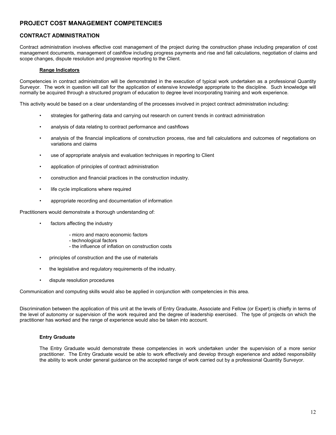## **CONTRACT ADMINISTRATION**

Contract administration involves effective cost management of the project during the construction phase including preparation of cost management documents, management of cashflow including progress payments and rise and fall calculations, negotiation of claims and scope changes, dispute resolution and progressive reporting to the Client.

#### **Range Indicators**

Competencies in contract administration will be demonstrated in the execution of typical work undertaken as a professional Quantity Surveyor. The work in question will call for the application of extensive knowledge appropriate to the discipline. Such knowledge will normally be acquired through a structured program of education to degree level incorporating training and work experience.

This activity would be based on a clear understanding of the processes involved in project contract administration including:

- strategies for gathering data and carrying out research on current trends in contract administration
- analysis of data relating to contract performance and cashflows
- analysis of the financial implications of construction process, rise and fall calculations and outcomes of negotiations on variations and claims
- use of appropriate analysis and evaluation techniques in reporting to Client
- application of principles of contract administration
- construction and financial practices in the construction industry.
- life cycle implications where required
- appropriate recording and documentation of information

Practitioners would demonstrate a thorough understanding of:

- factors affecting the industry
	- micro and macro economic factors
	- technological factors
	- the influence of inflation on construction costs
- principles of construction and the use of materials
- the legislative and regulatory requirements of the industry.
- dispute resolution procedures

Communication and computing skills would also be applied in conjunction with competencies in this area.

Discrimination between the application of this unit at the levels of Entry Graduate, Associate and Fellow (or Expert) is chiefly in terms of the level of autonomy or supervision of the work required and the degree of leadership exercised. The type of projects on which the practitioner has worked and the range of experience would also be taken into account.

#### **Entry Graduate**

The Entry Graduate would demonstrate these competencies in work undertaken under the supervision of a more senior practitioner. The Entry Graduate would be able to work effectively and develop through experience and added responsibility the ability to work under general guidance on the accepted range of work carried out by a professional Quantity Surveyor.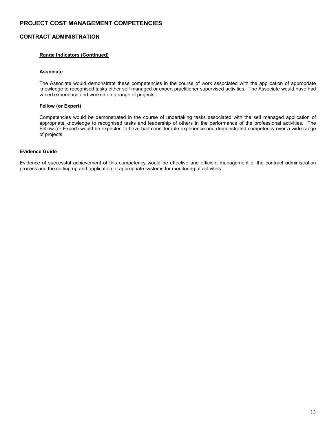## **CONTRACT ADMINISTRATION**

#### **Range Indicators (Continued)**

#### **Associate**

The Associate would demonstrate these competencies in the course of work associated with the application of appropriate knowledge to recognised tasks either self managed or expert practitioner supervised activities. The Associate would have had varied experience and worked on a range of projects.

#### **Fellow (or Expert)**

Competencies would be demonstrated in the course of undertaking tasks associated with the self managed application of appropriate knowledge to recognised tasks and leadership of others in the performance of the professional activities. The Fellow (or Expert) would be expected to have had considerable experience and demonstrated competency over a wide range of projects.

#### **Evidence Guide**

Evidence of successful achievement of this competency would be effective and efficient management of the contract administration process and the setting up and application of appropriate systems for monitoring of activities.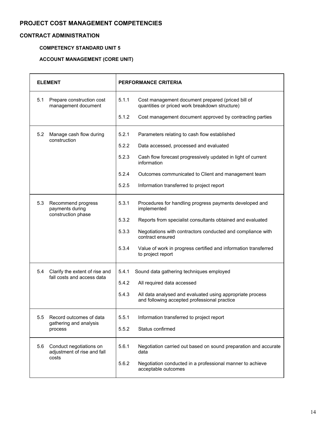## **CONTRACT ADMINISTRATION**

## **COMPETENCY STANDARD UNIT 5**

# **ACCOUNT MANAGEMENT (CORE UNIT)**

| <b>ELEMENT</b> |                                                                 | <b>PERFORMANCE CRITERIA</b> |                                                                                                           |  |
|----------------|-----------------------------------------------------------------|-----------------------------|-----------------------------------------------------------------------------------------------------------|--|
| 5.1            | Prepare construction cost<br>management document                | 5.1.1                       | Cost management document prepared (priced bill of<br>quantities or priced work breakdown structure)       |  |
|                |                                                                 | 5.1.2                       | Cost management document approved by contracting parties                                                  |  |
| 5.2            | Manage cash flow during<br>construction                         | 5.2.1                       | Parameters relating to cash flow established                                                              |  |
|                |                                                                 | 5.2.2                       | Data accessed, processed and evaluated                                                                    |  |
|                |                                                                 | 5.2.3                       | Cash flow forecast progressively updated in light of current<br>information                               |  |
|                |                                                                 | 5.2.4                       | Outcomes communicated to Client and management team                                                       |  |
|                |                                                                 | 5.2.5                       | Information transferred to project report                                                                 |  |
| 5.3            | Recommend progress<br>payments during                           | 5.3.1                       | Procedures for handling progress payments developed and<br>implemented                                    |  |
|                | construction phase                                              | 5.3.2                       | Reports from specialist consultants obtained and evaluated                                                |  |
|                |                                                                 | 5.3.3                       | Negotiations with contractors conducted and compliance with<br>contract ensured                           |  |
|                |                                                                 | 5.3.4                       | Value of work in progress certified and information transferred<br>to project report                      |  |
| 5.4            | Clarify the extent of rise and<br>fall costs and access data    | 5.4.1                       | Sound data gathering techniques employed                                                                  |  |
|                |                                                                 | 5.4.2                       | All required data accessed                                                                                |  |
|                |                                                                 | 5.4.3                       | All data analysed and evaluated using appropriate process<br>and following accepted professional practice |  |
| 5.5            | Record outcomes of data                                         | 5.5.1                       | Information transferred to project report                                                                 |  |
|                | gathering and analysis<br>process                               | 5.5.2                       | Status confirmed                                                                                          |  |
| 5.6            | Conduct negotiations on<br>adjustment of rise and fall<br>costs | 5.6.1                       | Negotiation carried out based on sound preparation and accurate<br>data                                   |  |
|                |                                                                 | 5.6.2                       | Negotiation conducted in a professional manner to achieve<br>acceptable outcomes                          |  |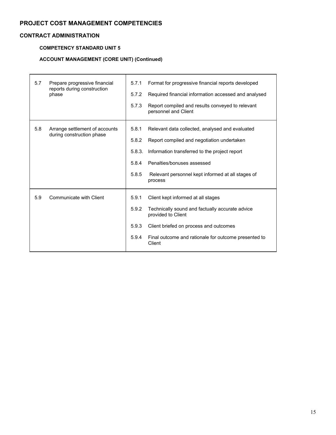## **CONTRACT ADMINISTRATION**

## **COMPETENCY STANDARD UNIT 5**

## **ACCOUNT MANAGEMENT (CORE UNIT) (Continued)**

| 5.7 | Prepare progressive financial<br>reports during construction<br>phase | 5.7.1<br>5.7.2<br>5.7.3                    | Format for progressive financial reports developed<br>Required financial information accessed and analysed<br>Report compiled and results conveyed to relevant<br>personnel and Client                                                       |
|-----|-----------------------------------------------------------------------|--------------------------------------------|----------------------------------------------------------------------------------------------------------------------------------------------------------------------------------------------------------------------------------------------|
| 5.8 | Arrange settlement of accounts<br>during construction phase           | 5.8.1<br>5.8.2<br>5.8.3.<br>5.8.4<br>5.8.5 | Relevant data collected, analysed and evaluated<br>Report compiled and negotiation undertaken<br>Information transferred to the project report<br>Penalties/bonuses assessed<br>Relevant personnel kept informed at all stages of<br>process |
| 5.9 | Communicate with Client                                               | 5.9.1<br>5.9.2<br>5.9.3<br>5.9.4           | Client kept informed at all stages<br>Technically sound and factually accurate advice<br>provided to Client<br>Client briefed on process and outcomes<br>Final outcome and rationale for outcome presented to<br>Client                      |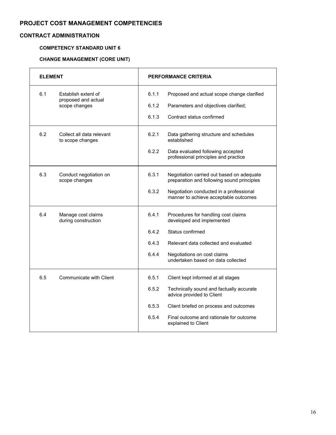## **CONTRACT ADMINISTRATION**

## **COMPETENCY STANDARD UNIT 6**

# **CHANGE MANAGEMENT (CORE UNIT)**

| <b>ELEMENT</b> |                                               | <b>PERFORMANCE CRITERIA</b> |                                                                                         |
|----------------|-----------------------------------------------|-----------------------------|-----------------------------------------------------------------------------------------|
| 6.1            | Establish extent of<br>proposed and actual    | 6.1.1                       | Proposed and actual scope change clarified                                              |
|                | scope changes                                 | 6.1.2                       | Parameters and objectives clarified;                                                    |
|                |                                               | 6.1.3                       | Contract status confirmed                                                               |
| 6.2            | Collect all data relevant<br>to scope changes | 6.2.1                       | Data gathering structure and schedules<br>established                                   |
|                |                                               | 6.2.2                       | Data evaluated following accepted<br>professional principles and practice               |
| 6.3            | Conduct negotiation on<br>scope changes       | 6.3.1                       | Negotiation carried out based on adequate<br>preparation and following sound principles |
|                |                                               | 6.3.2                       | Negotiation conducted in a professional<br>manner to achieve acceptable outcomes        |
| 6.4            | Manage cost claims<br>during construction     | 6.4.1                       | Procedures for handling cost claims<br>developed and implemented                        |
|                |                                               | 6.4.2                       | Status confirmed                                                                        |
|                |                                               | 6.4.3                       | Relevant data collected and evaluated                                                   |
|                |                                               | 6.4.4                       | Negotiations on cost claims<br>undertaken based on data collected                       |
| 6.5            | Communicate with Client                       | 6.5.1                       | Client kept informed at all stages                                                      |
|                |                                               | 6.5.2                       | Technically sound and factually accurate<br>advice provided to Client                   |
|                |                                               | 6.5.3                       | Client briefed on process and outcomes                                                  |
|                |                                               | 6.5.4                       | Final outcome and rationale for outcome<br>explained to Client                          |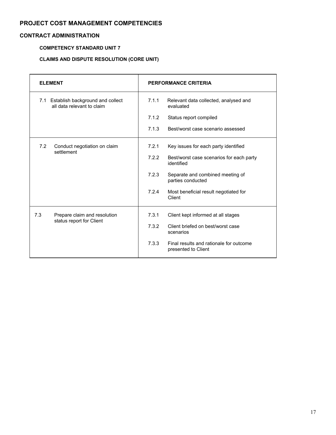## **CONTRACT ADMINISTRATION**

## **COMPETENCY STANDARD UNIT 7**

## **CLAIMS AND DISPUTE RESOLUTION (CORE UNIT)**

| <b>ELEMENT</b>                                                     | <b>PERFORMANCE CRITERIA</b>                                             |  |  |
|--------------------------------------------------------------------|-------------------------------------------------------------------------|--|--|
| 7.1 Establish background and collect<br>all data relevant to claim | 7.1.1<br>Relevant data collected, analysed and<br>evaluated             |  |  |
|                                                                    | 7.1.2<br>Status report compiled                                         |  |  |
|                                                                    | 7.1.3<br>Best/worst case scenario assessed                              |  |  |
| 7.2<br>Conduct negotiation on claim<br>settlement                  | 7.2.1<br>Key issues for each party identified                           |  |  |
|                                                                    | 7.2.2<br>Best/worst case scenarios for each party<br>identified         |  |  |
|                                                                    | 7.2.3<br>Separate and combined meeting of<br>parties conducted          |  |  |
|                                                                    | 7.2.4<br>Most beneficial result negotiated for<br>Client                |  |  |
| 7.3<br>Prepare claim and resolution<br>status report for Client    | 7.3.1<br>Client kept informed at all stages                             |  |  |
|                                                                    | 7.3.2<br>Client briefed on best/worst case<br>scenarios                 |  |  |
|                                                                    | 7.3.3<br>Final results and rationale for outcome<br>presented to Client |  |  |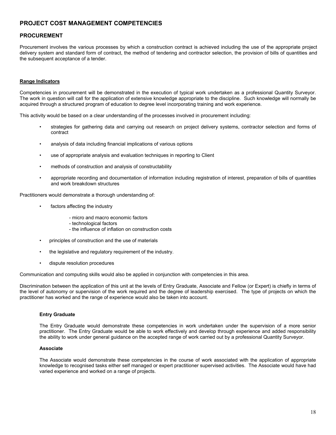#### **PROCUREMENT**

Procurement involves the various processes by which a construction contract is achieved including the use of the appropriate project delivery system and standard form of contract, the method of tendering and contractor selection, the provision of bills of quantities and the subsequent acceptance of a tender.

#### **Range Indicators**

Competencies in procurement will be demonstrated in the execution of typical work undertaken as a professional Quantity Surveyor. The work in question will call for the application of extensive knowledge appropriate to the discipline. Such knowledge will normally be acquired through a structured program of education to degree level incorporating training and work experience.

This activity would be based on a clear understanding of the processes involved in procurement including:

- strategies for gathering data and carrying out research on project delivery systems, contractor selection and forms of contract
- analysis of data including financial implications of various options
- use of appropriate analysis and evaluation techniques in reporting to Client
- methods of construction and analysis of constructability
- appropriate recording and documentation of information including registration of interest, preparation of bills of quantities and work breakdown structures

Practitioners would demonstrate a thorough understanding of:

- factors affecting the industry
	- micro and macro economic factors
	- technological factors
	- the influence of inflation on construction costs
- principles of construction and the use of materials
- the legislative and regulatory requirement of the industry.
- dispute resolution procedures

Communication and computing skills would also be applied in conjunction with competencies in this area.

Discrimination between the application of this unit at the levels of Entry Graduate, Associate and Fellow (or Expert) is chiefly in terms of the level of autonomy or supervision of the work required and the degree of leadership exercised. The type of projects on which the practitioner has worked and the range of experience would also be taken into account.

#### **Entry Graduate**

The Entry Graduate would demonstrate these competencies in work undertaken under the supervision of a more senior practitioner. The Entry Graduate would be able to work effectively and develop through experience and added responsibility the ability to work under general guidance on the accepted range of work carried out by a professional Quantity Surveyor.

#### **Associate**

The Associate would demonstrate these competencies in the course of work associated with the application of appropriate knowledge to recognised tasks either self managed or expert practitioner supervised activities. The Associate would have had varied experience and worked on a range of projects.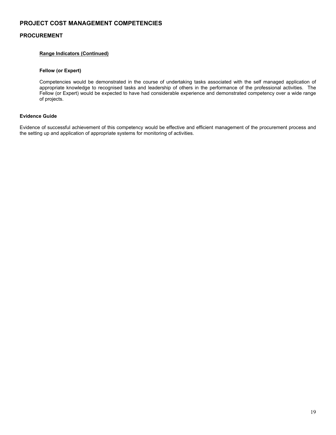## **PROCUREMENT**

#### **Range Indicators (Continued)**

#### **Fellow (or Expert)**

Competencies would be demonstrated in the course of undertaking tasks associated with the self managed application of appropriate knowledge to recognised tasks and leadership of others in the performance of the professional activities. The Fellow (or Expert) would be expected to have had considerable experience and demonstrated competency over a wide range of projects.

#### **Evidence Guide**

Evidence of successful achievement of this competency would be effective and efficient management of the procurement process and the setting up and application of appropriate systems for monitoring of activities.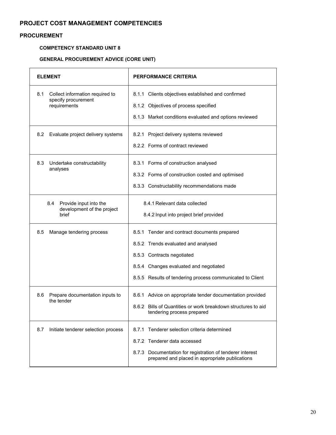## **PROCUREMENT**

#### **COMPETENCY STANDARD UNIT 8**

## **GENERAL PROCUREMENT ADVICE (CORE UNIT)**

| <b>ELEMENT</b>                                                                | <b>PERFORMANCE CRITERIA</b>                                                                                                                                                                                              |
|-------------------------------------------------------------------------------|--------------------------------------------------------------------------------------------------------------------------------------------------------------------------------------------------------------------------|
| 8.1<br>Collect information required to<br>specify procurement<br>requirements | 8.1.1 Clients objectives established and confirmed<br>8.1.2 Objectives of process specified<br>8.1.3 Market conditions evaluated and options reviewed                                                                    |
| 8.2<br>Evaluate project delivery systems                                      | 8.2.1 Project delivery systems reviewed<br>8.2.2 Forms of contract reviewed                                                                                                                                              |
| 8.3<br>Undertake constructability<br>analyses                                 | 8.3.1 Forms of construction analysed<br>8.3.2 Forms of construction costed and optimised<br>8.3.3 Constructability recommendations made                                                                                  |
| 8.4<br>Provide input into the<br>development of the project<br>brief          | 8.4.1 Relevant data collected<br>8.4.2 Input into project brief provided                                                                                                                                                 |
| 8.5<br>Manage tendering process                                               | 8.5.1 Tender and contract documents prepared<br>8.5.2 Trends evaluated and analysed<br>8.5.3 Contracts negotiated<br>8.5.4 Changes evaluated and negotiated<br>8.5.5 Results of tendering process communicated to Client |
| 8.6<br>Prepare documentation inputs to<br>the tender                          | 8.6.1 Advice on appropriate tender documentation provided<br>8.6.2 Bills of Quantities or work breakdown structures to aid<br>tendering process prepared                                                                 |
| Initiate tenderer selection process<br>8.7                                    | 8.7.1 Tenderer selection criteria determined<br>8.7.2 Tenderer data accessed<br>8.7.3 Documentation for registration of tenderer interest<br>prepared and placed in appropriate publications                             |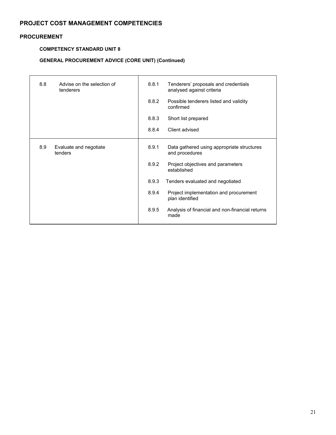## **PROCUREMENT**

## **COMPETENCY STANDARD UNIT 8**

## **GENERAL PROCUREMENT ADVICE (CORE UNIT) (Continued)**

| 8.8 | Advise on the selection of<br>tenderers | 8.8.1 | Tenderers' proposals and credentials<br>analysed against criteria |
|-----|-----------------------------------------|-------|-------------------------------------------------------------------|
|     |                                         | 8.8.2 | Possible tenderers listed and validity<br>confirmed               |
|     |                                         | 8.8.3 | Short list prepared                                               |
|     |                                         | 8.8.4 | Client advised                                                    |
| 8.9 | Evaluate and negotiate<br>tenders       | 8.9.1 | Data gathered using appropriate structures<br>and procedures      |
|     |                                         | 8.9.2 | Project objectives and parameters<br>established                  |
|     |                                         | 8.9.3 | Tenders evaluated and negotiated                                  |
|     |                                         | 8.9.4 | Project implementation and procurement<br>plan identified         |
|     |                                         | 8.9.5 | Analysis of financial and non-financial returns<br>made           |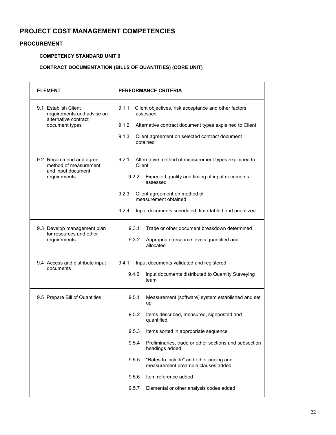## **PROCUREMENT**

## **COMPETENCY STANDARD UNIT 9**

## **CONTRACT DOCUMENTATION (BILLS OF QUANTITIES) (CORE UNIT)**

| <b>ELEMENT</b>                                                                               | <b>PERFORMANCE CRITERIA</b>                                                                                                                   |  |  |  |
|----------------------------------------------------------------------------------------------|-----------------------------------------------------------------------------------------------------------------------------------------------|--|--|--|
| 9.1 Establish Client<br>requirements and advise on<br>alternative contract<br>document types | 9.1.1<br>Client objectives, risk acceptance and other factors<br>assessed<br>9.1.2<br>Alternative contract document types explained to Client |  |  |  |
|                                                                                              | 9.1.3<br>Client agreement on selected contract document<br>obtained                                                                           |  |  |  |
| 9.2 Recommend and agree<br>method of measurement<br>and input document                       | Alternative method of measurement types explained to<br>9.2.1<br>Client                                                                       |  |  |  |
| requirements                                                                                 | Expected quality and timing of input documents<br>9.2.2<br>assessed                                                                           |  |  |  |
|                                                                                              | 9.2.3<br>Client agreement on method of<br>measurement obtained                                                                                |  |  |  |
|                                                                                              | 9.2.4<br>Input documents scheduled, time-tabled and prioritized                                                                               |  |  |  |
| 9.3 Develop management plan<br>for resources and other                                       | 9.3.1<br>Trade or other document breakdown determined                                                                                         |  |  |  |
| requirements                                                                                 | 9.3.2<br>Appropriate resource levels quantified and<br>allocated                                                                              |  |  |  |
| 9.4 Access and distribute input<br>documents                                                 | 9.4.1<br>Input documents validated and registered                                                                                             |  |  |  |
|                                                                                              | 9.4.2<br>Input documents distributed to Quantity Surveying<br>team                                                                            |  |  |  |
| 9.5 Prepare Bill of Quantities                                                               | 9.5.1<br>Measurement (software) system established and set<br>up                                                                              |  |  |  |
|                                                                                              | 9.5.2<br>Items described, measured, signposted and<br>quantified                                                                              |  |  |  |
|                                                                                              | 9.5.3<br>Items sorted in appropriate sequence                                                                                                 |  |  |  |
|                                                                                              | Preliminaries, trade or other sections and subsection<br>9.5.4<br>headings added                                                              |  |  |  |
|                                                                                              | 9.5.5<br>"Rates to include" and other pricing and<br>measurement preamble clauses added                                                       |  |  |  |
|                                                                                              | Item reference added<br>9.5.6                                                                                                                 |  |  |  |
|                                                                                              | 9.5.7<br>Elemental or other analysis codes added                                                                                              |  |  |  |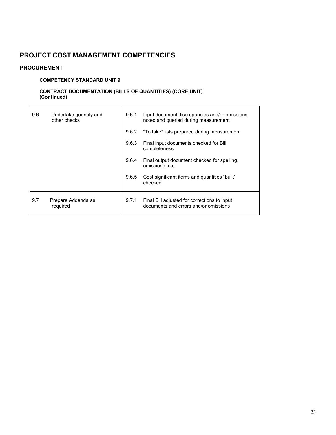## **PROCUREMENT**

## **COMPETENCY STANDARD UNIT 9**

## **CONTRACT DOCUMENTATION (BILLS OF QUANTITIES) (CORE UNIT) (Continued)**

| 9.6 | Undertake quantity and<br>other checks | 9.6.1 | Input document discrepancies and/or omissions<br>noted and queried during measurement |
|-----|----------------------------------------|-------|---------------------------------------------------------------------------------------|
|     |                                        | 9.6.2 | "To take" lists prepared during measurement                                           |
|     |                                        | 9.6.3 | Final input documents checked for Bill<br>completeness                                |
|     |                                        | 9.6.4 | Final output document checked for spelling.<br>omissions, etc.                        |
|     |                                        | 9.6.5 | Cost significant items and quantities "bulk"<br>checked                               |
| 9.7 | Prepare Addenda as<br>required         | 9.7.1 | Final Bill adjusted for corrections to input<br>documents and errors and/or omissions |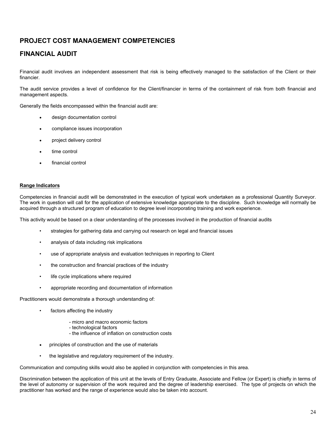# **FINANCIAL AUDIT**

Financial audit involves an independent assessment that risk is being effectively managed to the satisfaction of the Client or their financier.

The audit service provides a level of confidence for the Client/financier in terms of the containment of risk from both financial and management aspects.

Generally the fields encompassed within the financial audit are:

- design documentation control
- compliance issues incorporation
- project delivery control
- time control
- financial control

#### **Range Indicators**

Competencies in financial audit will be demonstrated in the execution of typical work undertaken as a professional Quantity Surveyor. The work in question will call for the application of extensive knowledge appropriate to the discipline. Such knowledge will normally be acquired through a structured program of education to degree level incorporating training and work experience.

This activity would be based on a clear understanding of the processes involved in the production of financial audits

- strategies for gathering data and carrying out research on legal and financial issues
- analysis of data including risk implications
- use of appropriate analysis and evaluation techniques in reporting to Client
- the construction and financial practices of the industry
- life cycle implications where required
- appropriate recording and documentation of information

Practitioners would demonstrate a thorough understanding of:

- factors affecting the industry
	- micro and macro economic factors
	- technological factors
	- the influence of inflation on construction costs
- principles of construction and the use of materials
- the legislative and regulatory requirement of the industry.

Communication and computing skills would also be applied in conjunction with competencies in this area.

Discrimination between the application of this unit at the levels of Entry Graduate, Associate and Fellow (or Expert) is chiefly in terms of the level of autonomy or supervision of the work required and the degree of leadership exercised. The type of projects on which the practitioner has worked and the range of experience would also be taken into account.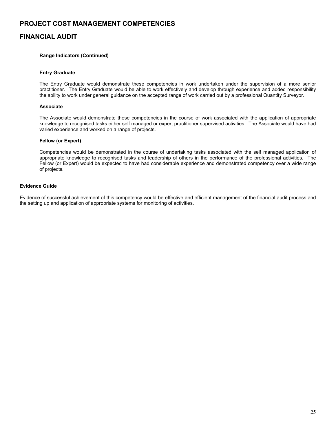## **FINANCIAL AUDIT**

#### **Range Indicators (Continued)**

#### **Entry Graduate**

The Entry Graduate would demonstrate these competencies in work undertaken under the supervision of a more senior practitioner. The Entry Graduate would be able to work effectively and develop through experience and added responsibility the ability to work under general guidance on the accepted range of work carried out by a professional Quantity Surveyor.

#### **Associate**

The Associate would demonstrate these competencies in the course of work associated with the application of appropriate knowledge to recognised tasks either self managed or expert practitioner supervised activities. The Associate would have had varied experience and worked on a range of projects.

#### **Fellow (or Expert)**

Competencies would be demonstrated in the course of undertaking tasks associated with the self managed application of appropriate knowledge to recognised tasks and leadership of others in the performance of the professional activities. The Fellow (or Expert) would be expected to have had considerable experience and demonstrated competency over a wide range of projects.

#### **Evidence Guide**

Evidence of successful achievement of this competency would be effective and efficient management of the financial audit process and the setting up and application of appropriate systems for monitoring of activities.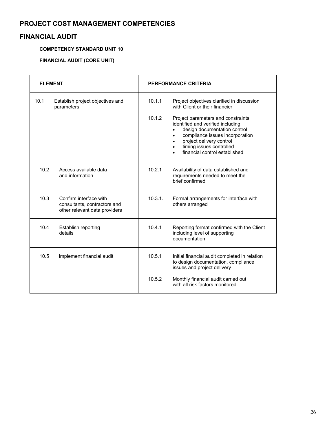# **FINANCIAL AUDIT**

## **COMPETENCY STANDARD UNIT 10**

## **FINANCIAL AUDIT (CORE UNIT)**

| <b>ELEMENT</b> |                                                                                         |         | <b>PERFORMANCE CRITERIA</b>                                                                                                                                                                                                                       |
|----------------|-----------------------------------------------------------------------------------------|---------|---------------------------------------------------------------------------------------------------------------------------------------------------------------------------------------------------------------------------------------------------|
| 10.1           | Establish project objectives and<br>parameters                                          | 10.1.1  | Project objectives clarified in discussion<br>with Client or their financier                                                                                                                                                                      |
|                |                                                                                         | 10.1.2  | Project parameters and constraints<br>identified and verified including:<br>design documentation control<br>compliance issues incorporation<br>$\bullet$<br>project delivery control<br>timing issues controlled<br>financial control established |
| 10.2           | Access available data<br>and information                                                | 10.2.1  | Availability of data established and<br>requirements needed to meet the<br>brief confirmed                                                                                                                                                        |
| 10.3           | Confirm interface with<br>consultants, contractors and<br>other relevant data providers | 10.3.1. | Formal arrangements for interface with<br>others arranged                                                                                                                                                                                         |
| 10.4           | Establish reporting<br>details                                                          | 10.4.1  | Reporting format confirmed with the Client<br>including level of supporting<br>documentation                                                                                                                                                      |
| 10.5           | Implement financial audit                                                               | 10.5.1  | Initial financial audit completed in relation<br>to design documentation, compliance<br>issues and project delivery                                                                                                                               |
|                |                                                                                         | 10.5.2  | Monthly financial audit carried out<br>with all risk factors monitored                                                                                                                                                                            |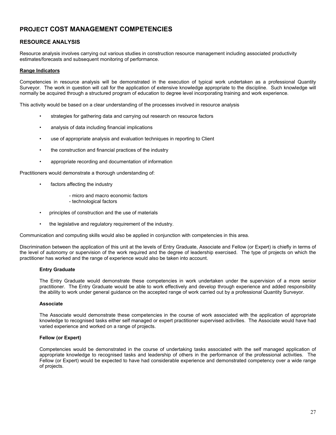## **RESOURCE ANALYSIS**

Resource analysis involves carrying out various studies in construction resource management including associated productivity estimates/forecasts and subsequent monitoring of performance.

#### **Range Indicators**

Competencies in resource analysis will be demonstrated in the execution of typical work undertaken as a professional Quantity Surveyor. The work in question will call for the application of extensive knowledge appropriate to the discipline. Such knowledge will normally be acquired through a structured program of education to degree level incorporating training and work experience.

This activity would be based on a clear understanding of the processes involved in resource analysis

- strategies for gathering data and carrying out research on resource factors
- analysis of data including financial implications
- use of appropriate analysis and evaluation techniques in reporting to Client
- the construction and financial practices of the industry
- appropriate recording and documentation of information

Practitioners would demonstrate a thorough understanding of:

- factors affecting the industry
	- micro and macro economic factors
	- technological factors
- principles of construction and the use of materials
- the legislative and regulatory requirement of the industry.

Communication and computing skills would also be applied in conjunction with competencies in this area.

Discrimination between the application of this unit at the levels of Entry Graduate, Associate and Fellow (or Expert) is chiefly in terms of the level of autonomy or supervision of the work required and the degree of leadership exercised. The type of projects on which the practitioner has worked and the range of experience would also be taken into account.

#### **Entry Graduate**

The Entry Graduate would demonstrate these competencies in work undertaken under the supervision of a more senior practitioner. The Entry Graduate would be able to work effectively and develop through experience and added responsibility the ability to work under general guidance on the accepted range of work carried out by a professional Quantity Surveyor.

#### **Associate**

The Associate would demonstrate these competencies in the course of work associated with the application of appropriate knowledge to recognised tasks either self managed or expert practitioner supervised activities. The Associate would have had varied experience and worked on a range of projects.

#### **Fellow (or Expert)**

Competencies would be demonstrated in the course of undertaking tasks associated with the self managed application of appropriate knowledge to recognised tasks and leadership of others in the performance of the professional activities. The Fellow (or Expert) would be expected to have had considerable experience and demonstrated competency over a wide range of projects.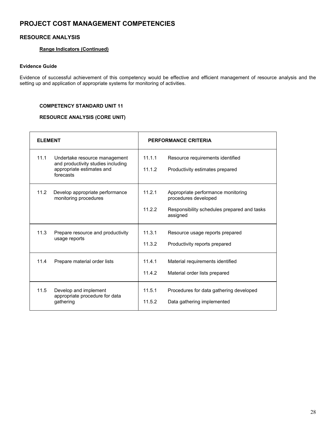## **RESOURCE ANALYSIS**

## **Range Indicators (Continued)**

#### **Evidence Guide**

Evidence of successful achievement of this competency would be effective and efficient management of resource analysis and the setting up and application of appropriate systems for monitoring of activities.

#### **COMPETENCY STANDARD UNIT 11**

## **RESOURCE ANALYSIS (CORE UNIT)**

| <b>FI FMFNT</b> |                                                                                                               | <b>PERFORMANCE CRITERIA</b> |                                                                                                                       |
|-----------------|---------------------------------------------------------------------------------------------------------------|-----------------------------|-----------------------------------------------------------------------------------------------------------------------|
| 11.1            | Undertake resource management<br>and productivity studies including<br>appropriate estimates and<br>forecasts | 11.1.1<br>11.1.2            | Resource requirements identified<br>Productivity estimates prepared                                                   |
| 11.2            | Develop appropriate performance<br>monitoring procedures                                                      | 11.2.1<br>11.2.2            | Appropriate performance monitoring<br>procedures developed<br>Responsibility schedules prepared and tasks<br>assigned |
| 11.3            | Prepare resource and productivity<br>usage reports                                                            | 11.3.1<br>11.3.2            | Resource usage reports prepared<br>Productivity reports prepared                                                      |
| 11.4            | Prepare material order lists                                                                                  | 11.4.1<br>11.4.2            | Material requirements identified<br>Material order lists prepared                                                     |
| 11.5            | Develop and implement<br>appropriate procedure for data<br>gathering                                          | 11.5.1<br>11.5.2            | Procedures for data gathering developed<br>Data gathering implemented                                                 |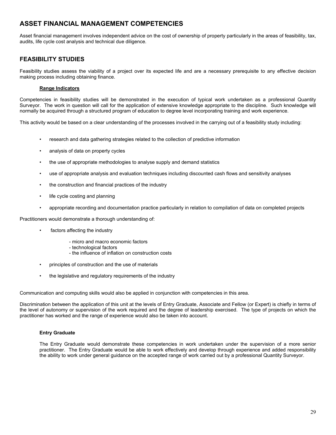Asset financial management involves independent advice on the cost of ownership of property particularly in the areas of feasibility, tax, audits, life cycle cost analysis and technical due diligence.

## **FEASIBILITY STUDIES**

Feasibility studies assess the viability of a project over its expected life and are a necessary prerequisite to any effective decision making process including obtaining finance.

#### **Range Indicators**

Competencies in feasibility studies will be demonstrated in the execution of typical work undertaken as a professional Quantity Surveyor. The work in question will call for the application of extensive knowledge appropriate to the discipline. Such knowledge will normally be acquired through a structured program of education to degree level incorporating training and work experience.

This activity would be based on a clear understanding of the processes involved in the carrying out of a feasibility study including:

- research and data gathering strategies related to the collection of predictive information
- analysis of data on property cycles
- the use of appropriate methodologies to analyse supply and demand statistics
- use of appropriate analysis and evaluation techniques including discounted cash flows and sensitivity analyses
- the construction and financial practices of the industry
- life cycle costing and planning
- appropriate recording and documentation practice particularly in relation to compilation of data on completed projects

Practitioners would demonstrate a thorough understanding of:

- factors affecting the industry
	- micro and macro economic factors
	- technological factors
	- the influence of inflation on construction costs
- principles of construction and the use of materials
- the legislative and regulatory requirements of the industry

Communication and computing skills would also be applied in conjunction with competencies in this area.

Discrimination between the application of this unit at the levels of Entry Graduate, Associate and Fellow (or Expert) is chiefly in terms of the level of autonomy or supervision of the work required and the degree of leadership exercised. The type of projects on which the practitioner has worked and the range of experience would also be taken into account.

#### **Entry Graduate**

The Entry Graduate would demonstrate these competencies in work undertaken under the supervision of a more senior practitioner. The Entry Graduate would be able to work effectively and develop through experience and added responsibility the ability to work under general guidance on the accepted range of work carried out by a professional Quantity Surveyor.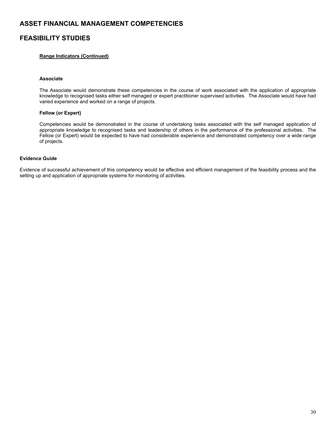## **FEASIBILITY STUDIES**

#### **Range Indicators (Continued)**

#### **Associate**

The Associate would demonstrate these competencies in the course of work associated with the application of appropriate knowledge to recognised tasks either self managed or expert practitioner supervised activities. The Associate would have had varied experience and worked on a range of projects.

#### **Fellow (or Expert)**

Competencies would be demonstrated in the course of undertaking tasks associated with the self managed application of appropriate knowledge to recognised tasks and leadership of others in the performance of the professional activities. The Fellow (or Expert) would be expected to have had considerable experience and demonstrated competency over a wide range of projects.

#### **Evidence Guide**

Evidence of successful achievement of this competency would be effective and efficient management of the feasibility process and the setting up and application of appropriate systems for monitoring of activities.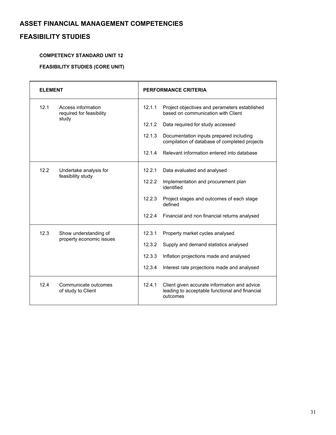# **FEASIBILITY STUDIES**

# **COMPETENCY STANDARD UNIT 12**

## **FEASIBILITY STUDIES (CORE UNIT)**

| <b>ELEMENT</b> |                                                         | PERFORMANCE CRITERIA |                                                                                                            |
|----------------|---------------------------------------------------------|----------------------|------------------------------------------------------------------------------------------------------------|
| 12.1           | Access information<br>required for feasibility<br>study | 12.1.1               | Project objectives and perameters established<br>based on communication with Client                        |
|                |                                                         | 12.1.2               | Data required for study accessed                                                                           |
|                |                                                         | 12.1.3               | Documentation inputs prepared including<br>compilation of database of completed projects                   |
|                |                                                         | 12.1.4               | Relevant information entered into database                                                                 |
| 12.2           | Undertake analysis for<br>feasibility study             | 12.2.1               | Data evaluated and analysed                                                                                |
|                |                                                         | 12.2.2               | Implementation and procurement plan<br>identified                                                          |
|                |                                                         | 12.2.3               | Project stages and outcomes of each stage<br>defined                                                       |
|                |                                                         | 12.2.4               | Financial and non financial returns analysed                                                               |
| 12.3           | Show understanding of<br>property economic issues       | 12.3.1               | Property market cycles analysed                                                                            |
|                |                                                         | 12.3.2               | Supply and demand statistics analysed                                                                      |
|                |                                                         | 12.3.3               | Inflation projections made and analysed                                                                    |
|                |                                                         | 12.3.4               | Interest rate projections made and analysed                                                                |
| 12.4           | Communicate outcomes<br>of study to Client              | 12.4.1               | Client given accurate information and advice<br>leading to acceptable functional and financial<br>outcomes |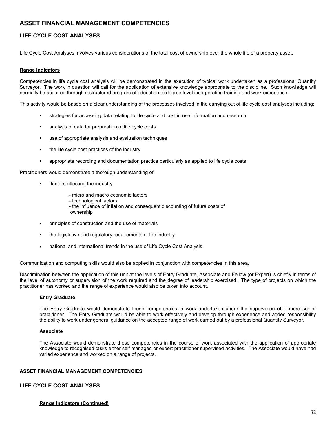## **LIFE CYCLE COST ANALYSES**

Life Cycle Cost Analyses involves various considerations of the total cost of ownership over the whole life of a property asset.

#### **Range Indicators**

Competencies in life cycle cost analysis will be demonstrated in the execution of typical work undertaken as a professional Quantity Surveyor. The work in question will call for the application of extensive knowledge appropriate to the discipline. Such knowledge will normally be acquired through a structured program of education to degree level incorporating training and work experience.

This activity would be based on a clear understanding of the processes involved in the carrying out of life cycle cost analyses including:

- strategies for accessing data relating to life cycle and cost in use information and research
- analysis of data for preparation of life cycle costs
- use of appropriate analysis and evaluation techniques
- the life cycle cost practices of the industry
- appropriate recording and documentation practice particularly as applied to life cycle costs

Practitioners would demonstrate a thorough understanding of:

- factors affecting the industry
	- micro and macro economic factors
	- technological factors
	- the influence of inflation and consequent discounting of future costs of ownership
- principles of construction and the use of materials
- the legislative and regulatory reguirements of the industry
- national and international trends in the use of Life Cycle Cost Analysis

Communication and computing skills would also be applied in conjunction with competencies in this area.

Discrimination between the application of this unit at the levels of Entry Graduate, Associate and Fellow (or Expert) is chiefly in terms of the level of autonomy or supervision of the work required and the degree of leadership exercised. The type of projects on which the practitioner has worked and the range of experience would also be taken into account.

#### **Entry Graduate**

The Entry Graduate would demonstrate these competencies in work undertaken under the supervision of a more senior practitioner. The Entry Graduate would be able to work effectively and develop through experience and added responsibility the ability to work under general guidance on the accepted range of work carried out by a professional Quantity Surveyor.

#### **Associate**

The Associate would demonstrate these competencies in the course of work associated with the application of appropriate knowledge to recognised tasks either self managed or expert practitioner supervised activities. The Associate would have had varied experience and worked on a range of projects.

#### **ASSET FINANCIAL MANAGEMENT COMPETENCIES**

#### **LIFE CYCLE COST ANALYSES**

#### **Range Indicators (Continued)**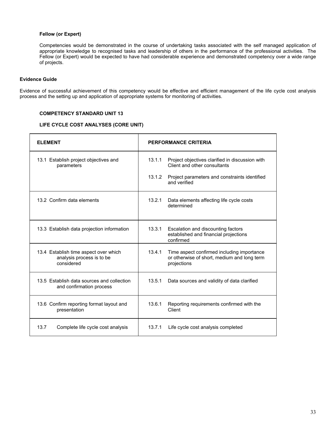#### **Fellow (or Expert)**

Competencies would be demonstrated in the course of undertaking tasks associated with the self managed application of appropriate knowledge to recognised tasks and leadership of others in the performance of the professional activities. The Fellow (or Expert) would be expected to have had considerable experience and demonstrated competency over a wide range of projects.

#### **Evidence Guide**

Evidence of successful achievement of this competency would be effective and efficient management of the life cycle cost analysis process and the setting up and application of appropriate systems for monitoring of activities.

#### **COMPETENCY STANDARD UNIT 13**

#### **LIFE CYCLE COST ANALYSES (CORE UNIT)**

| <b>FI EMENT</b>                                                                  | <b>PERFORMANCE CRITERIA</b>                                                                                        |  |
|----------------------------------------------------------------------------------|--------------------------------------------------------------------------------------------------------------------|--|
| 13.1 Establish project objectives and<br>parameters                              | 13.1.1<br>Project objectives clarified in discussion with<br>Client and other consultants                          |  |
|                                                                                  | 13.1.2<br>Project parameters and constraints identified<br>and verified                                            |  |
| 13.2 Confirm data elements                                                       | 13.2.1<br>Data elements affecting life cycle costs<br>determined                                                   |  |
| 13.3 Establish data projection information                                       | 13.3.1<br>Escalation and discounting factors<br>established and financial projections<br>confirmed                 |  |
| 13.4 Establish time aspect over which<br>analysis process is to be<br>considered | 13.4.1<br>Time aspect confirmed including importance<br>or otherwise of short, medium and long term<br>projections |  |
| 13.5 Establish data sources and collection<br>and confirmation process           | 13.5.1<br>Data sources and validity of data clarified                                                              |  |
| 13.6 Confirm reporting format layout and<br>presentation                         | Reporting requirements confirmed with the<br>13.6.1<br>Client                                                      |  |
| 13.7<br>Complete life cycle cost analysis                                        | 13.7.1<br>Life cycle cost analysis completed                                                                       |  |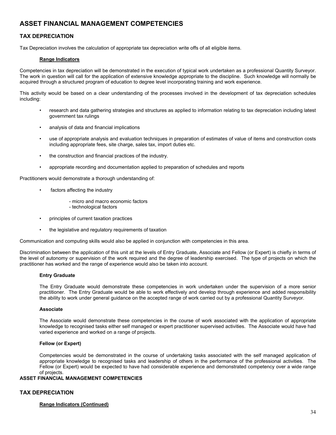### **TAX DEPRECIATION**

Tax Depreciation involves the calculation of appropriate tax depreciation write offs of all eligible items.

#### **Range Indicators**

Competencies in tax depreciation will be demonstrated in the execution of typical work undertaken as a professional Quantity Surveyor. The work in question will call for the application of extensive knowledge appropriate to the discipline. Such knowledge will normally be acquired through a structured program of education to degree level incorporating training and work experience.

This activity would be based on a clear understanding of the processes involved in the development of tax depreciation schedules including:

- research and data gathering strategies and structures as applied to information relating to tax depreciation including latest government tax rulings
- analysis of data and financial implications
- use of appropriate analysis and evaluation techniques in preparation of estimates of value of items and construction costs including appropriate fees, site charge, sales tax, import duties etc.
- the construction and financial practices of the industry.
- appropriate recording and documentation applied to preparation of schedules and reports

Practitioners would demonstrate a thorough understanding of:

- factors affecting the industry
	- micro and macro economic factors
	- technological factors
- principles of current taxation practices
- the legislative and regulatory requirements of taxation

Communication and computing skills would also be applied in conjunction with competencies in this area.

Discrimination between the application of this unit at the levels of Entry Graduate, Associate and Fellow (or Expert) is chiefly in terms of the level of autonomy or supervision of the work required and the degree of leadership exercised. The type of projects on which the practitioner has worked and the range of experience would also be taken into account.

#### **Entry Graduate**

The Entry Graduate would demonstrate these competencies in work undertaken under the supervision of a more senior practitioner. The Entry Graduate would be able to work effectively and develop through experience and added responsibility the ability to work under general guidance on the accepted range of work carried out by a professional Quantity Surveyor.

#### **Associate**

The Associate would demonstrate these competencies in the course of work associated with the application of appropriate knowledge to recognised tasks either self managed or expert practitioner supervised activities. The Associate would have had varied experience and worked on a range of projects.

#### **Fellow (or Expert)**

Competencies would be demonstrated in the course of undertaking tasks associated with the self managed application of appropriate knowledge to recognised tasks and leadership of others in the performance of the professional activities. The Fellow (or Expert) would be expected to have had considerable experience and demonstrated competency over a wide range of projects.

# **ASSET FINANCIAL MANAGEMENT COMPETENCIES**

### **TAX DEPRECIATION**

#### **Range Indicators (Continued)**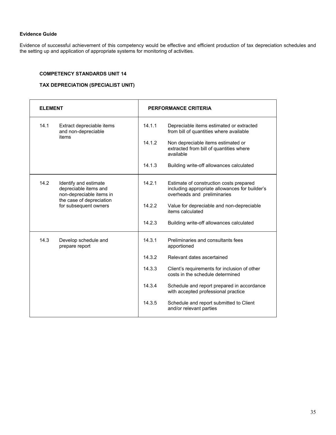### **Evidence Guide**

Evidence of successful achievement of this competency would be effective and efficient production of tax depreciation schedules and the setting up and application of appropriate systems for monitoring of activities.

### **COMPETENCY STANDARDS UNIT 14**

### **TAX DEPRECIATION (SPECIALIST UNIT)**

| <b>ELEMENT</b>                                                                                                                          | PERFORMANCE CRITERIA |                                                                                                                          |
|-----------------------------------------------------------------------------------------------------------------------------------------|----------------------|--------------------------------------------------------------------------------------------------------------------------|
| 14.1<br>Extract depreciable items<br>and non-depreciable<br>items                                                                       | 14.1.1               | Depreciable items estimated or extracted<br>from bill of quantities where available                                      |
|                                                                                                                                         | 14.1.2               | Non depreciable items estimated or<br>extracted from bill of quantities where<br>available                               |
|                                                                                                                                         | 14.1.3               | Building write-off allowances calculated                                                                                 |
| 14.2<br>Identify and estimate<br>depreciable items and<br>non-depreciable items in<br>the case of depreciation<br>for subsequent owners | 14.2.1               | Estimate of construction costs prepared<br>including appropriate allowances for builder's<br>overheads and preliminaries |
|                                                                                                                                         | 14.2.2               | Value for depreciable and non-depreciable<br>items calculated                                                            |
|                                                                                                                                         | 14.2.3               | Building write-off allowances calculated                                                                                 |
| 14.3<br>Develop schedule and<br>prepare report                                                                                          | 14.3.1               | Preliminaries and consultants fees<br>apportioned                                                                        |
|                                                                                                                                         | 14.3.2               | Relevant dates ascertained                                                                                               |
|                                                                                                                                         | 14.3.3               | Client's requirements for inclusion of other<br>costs in the schedule determined                                         |
|                                                                                                                                         | 14.3.4               | Schedule and report prepared in accordance<br>with accepted professional practice                                        |
|                                                                                                                                         | 14.3.5               | Schedule and report submitted to Client<br>and/or relevant parties                                                       |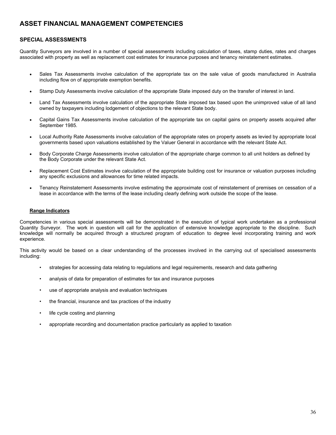### **SPECIAL ASSESSMENTS**

Quantity Surveyors are involved in a number of special assessments including calculation of taxes, stamp duties, rates and charges associated with property as well as replacement cost estimates for insurance purposes and tenancy reinstatement estimates.

- Sales Tax Assessments involve calculation of the appropriate tax on the sale value of goods manufactured in Australia including flow on of appropriate exemption benefits.
- Stamp Duty Assessments involve calculation of the appropriate State imposed duty on the transfer of interest in land.
- Land Tax Assessments involve calculation of the appropriate State imposed tax based upon the unimproved value of all land owned by taxpayers including lodgement of objections to the relevant State body.
- Capital Gains Tax Assessments involve calculation of the appropriate tax on capital gains on property assets acquired after September 1985.
- Local Authority Rate Assessments involve calculation of the appropriate rates on property assets as levied by appropriate local governments based upon valuations established by the Valuer General in accordance with the relevant State Act.
- Body Corporate Charge Assessments involve calculation of the appropriate charge common to all unit holders as defined by the Body Corporate under the relevant State Act.
- Replacement Cost Estimates involve calculation of the appropriate building cost for insurance or valuation purposes including any specific exclusions and allowances for time related impacts.
- Tenancy Reinstatement Assessments involve estimating the approximate cost of reinstatement of premises on cessation of a lease in accordance with the terms of the lease including clearly defining work outside the scope of the lease.

#### **Range Indicators**

Competencies in various special assessments will be demonstrated in the execution of typical work undertaken as a professional Quantity Surveyor. The work in question will call for the application of extensive knowledge appropriate to the discipline. Such knowledge will normally be acquired through a structured program of education to degree level incorporating training and work experience.

This activity would be based on a clear understanding of the processes involved in the carrying out of specialised assessments including:

- strategies for accessing data relating to regulations and legal requirements, research and data gathering
- analysis of data for preparation of estimates for tax and insurance purposes
- use of appropriate analysis and evaluation techniques
- the financial, insurance and tax practices of the industry
- life cycle costing and planning
- appropriate recording and documentation practice particularly as applied to taxation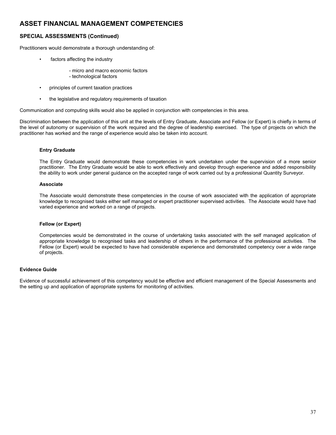### **SPECIAL ASSESSMENTS (Continued)**

Practitioners would demonstrate a thorough understanding of:

- factors affecting the industry
	- micro and macro economic factors
	- technological factors
- principles of current taxation practices
- the legislative and regulatory requirements of taxation

Communication and computing skills would also be applied in conjunction with competencies in this area.

Discrimination between the application of this unit at the levels of Entry Graduate, Associate and Fellow (or Expert) is chiefly in terms of the level of autonomy or supervision of the work required and the degree of leadership exercised. The type of projects on which the practitioner has worked and the range of experience would also be taken into account.

#### **Entry Graduate**

The Entry Graduate would demonstrate these competencies in work undertaken under the supervision of a more senior practitioner. The Entry Graduate would be able to work effectively and develop through experience and added responsibility the ability to work under general guidance on the accepted range of work carried out by a professional Quantity Surveyor.

#### **Associate**

The Associate would demonstrate these competencies in the course of work associated with the application of appropriate knowledge to recognised tasks either self managed or expert practitioner supervised activities. The Associate would have had varied experience and worked on a range of projects.

#### **Fellow (or Expert)**

Competencies would be demonstrated in the course of undertaking tasks associated with the self managed application of appropriate knowledge to recognised tasks and leadership of others in the performance of the professional activities. The Fellow (or Expert) would be expected to have had considerable experience and demonstrated competency over a wide range of projects.

### **Evidence Guide**

Evidence of successful achievement of this competency would be effective and efficient management of the Special Assessments and the setting up and application of appropriate systems for monitoring of activities.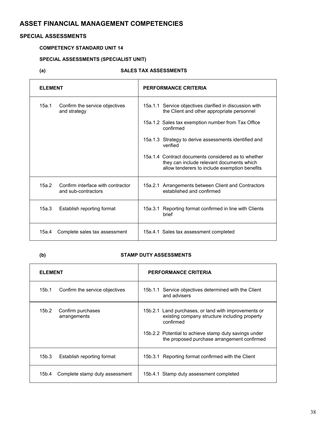### **SPECIAL ASSESSMENTS**

### **COMPETENCY STANDARD UNIT 14**

## **SPECIAL ASSESSMENTS (SPECIALIST UNIT)**

## **(a) SALES TAX ASSESSMENTS**

| <b>ELEMENT</b> |                                                          | PERFORMANCE CRITERIA |                                                                                                                                                   |
|----------------|----------------------------------------------------------|----------------------|---------------------------------------------------------------------------------------------------------------------------------------------------|
| 15a.1          | Confirm the service objectives<br>and strategy           |                      | 15a.1.1 Service objectives clarified in discussion with<br>the Client and other appropriate personnel                                             |
|                |                                                          |                      | 15a.1.2 Sales tax exemption number from Tax Office<br>confirmed                                                                                   |
|                |                                                          |                      | 15a.1.3 Strategy to derive assessments identified and<br>verified                                                                                 |
|                |                                                          |                      | 15a.1.4 Contract documents considered as to whether<br>they can include relevant documents which<br>allow tenderers to include exemption benefits |
| 15a.2          | Confirm interface with contractor<br>and sub-contractors |                      | 15a.2.1 Arrangements between Client and Contractors<br>established and confirmed                                                                  |
| 15a.3          | Establish reporting format                               |                      | 15a.3.1 Reporting format confirmed in line with Clients<br>brief                                                                                  |
| 15a.4          | Complete sales tax assessment                            |                      | 15a.4.1 Sales tax assessment completed                                                                                                            |

### **(b) STAMP DUTY ASSESSMENTS**

| <b>ELEMENT</b>                             | PERFORMANCE CRITERIA                                                                                                                                                                                                       |  |
|--------------------------------------------|----------------------------------------------------------------------------------------------------------------------------------------------------------------------------------------------------------------------------|--|
| Confirm the service objectives<br>15b.1    | 15b.1.1 Service objectives determined with the Client<br>and advisers                                                                                                                                                      |  |
| Confirm purchases<br>15b.2<br>arrangements | 15b.2.1 Land purchases, or land with improvements or<br>existing company structure including property<br>confirmed<br>15b.2.2 Potential to achieve stamp duty savings under<br>the proposed purchase arrangement confirmed |  |
| 15b.3<br>Establish reporting format        | 15b.3.1 Reporting format confirmed with the Client                                                                                                                                                                         |  |
| Complete stamp duty assessment<br>15b.4    | 15b.4.1 Stamp duty assessment completed                                                                                                                                                                                    |  |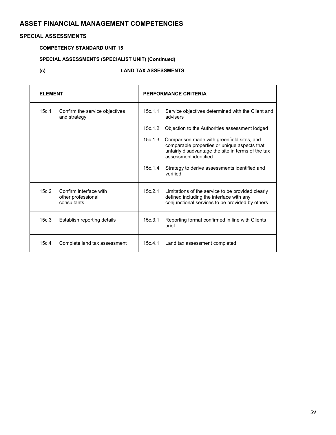### **SPECIAL ASSESSMENTS**

# **COMPETENCY STANDARD UNIT 15**

## **SPECIAL ASSESSMENTS (SPECIALIST UNIT) (Continued)**

### **(c) LAND TAX ASSESSMENTS**

| <b>ELEMENT</b> |                                                             | PERFORMANCE CRITERIA |                                                                                                                                                                           |
|----------------|-------------------------------------------------------------|----------------------|---------------------------------------------------------------------------------------------------------------------------------------------------------------------------|
| 15c.1          | Confirm the service objectives<br>and strategy              | 15c.1.1              | Service objectives determined with the Client and<br>advisers                                                                                                             |
|                |                                                             | 15c.1.2              | Objection to the Authorities assessment lodged                                                                                                                            |
|                |                                                             | 15c.1.3              | Comparison made with greenfield sites, and<br>comparable properties or unique aspects that<br>unfairly disadvantage the site in terms of the tax<br>assessment identified |
|                |                                                             | 15c.1.4              | Strategy to derive assessments identified and<br>verified                                                                                                                 |
| 15c.2          | Confirm interface with<br>other professional<br>consultants | 15c.2.1              | Limitations of the service to be provided clearly<br>defined including the interface with any<br>conjunctional services to be provided by others                          |
| 15c.3          | Establish reporting details                                 | 15c.3.1              | Reporting format confirmed in line with Clients<br>brief                                                                                                                  |
| 15c.4          | Complete land tax assessment                                | 15c.4.1              | Land tax assessment completed                                                                                                                                             |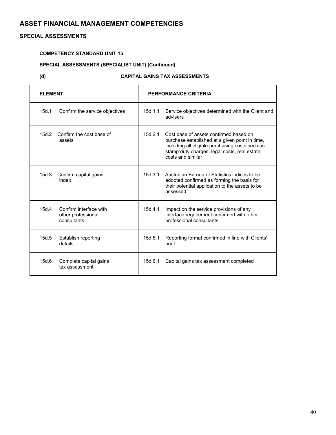### **SPECIAL ASSESSMENTS**

### **COMPETENCY STANDARD UNIT 15**

### **SPECIAL ASSESSMENTS (SPECIALIST UNIT) (Continued)**

### **(d) CAPITAL GAINS TAX ASSESSMENTS**

| <b>ELEMENT</b>                                                       | PERFORMANCE CRITERIA                                                                                                                                                                                                        |  |
|----------------------------------------------------------------------|-----------------------------------------------------------------------------------------------------------------------------------------------------------------------------------------------------------------------------|--|
| 15d.1<br>Confirm the service objectives                              | 15d.1.1<br>Service objectives determined with the Client and<br>advisers                                                                                                                                                    |  |
| 15d.2<br>Confirm the cost base of<br>assets                          | 15d.2.1<br>Cost base of assets confirmed based on<br>purchase established at a given point in time,<br>including all eligible purchasing costs such as<br>stamp duty charges, legal costs, real estate<br>costs and similar |  |
| 15d.3<br>Confirm capital gains<br>index                              | 15d.3.1<br>Australian Bureau of Statistics indices to be<br>adopted confirmed as forming the basis for<br>their potential application to the assets to be<br>assessed                                                       |  |
| 15d.4<br>Confirm interface with<br>other professional<br>consultants | 15d.4.1<br>Impact on the service provisions of any<br>interface requirement confirmed with other<br>professional consultants                                                                                                |  |
| 15d.5<br>Establish reporting<br>details                              | 15d.5.1<br>Reporting format confirmed in line with Clients'<br>brief                                                                                                                                                        |  |
| 15d.6<br>Complete capital gains<br>tax assessment                    | 15d.6.1<br>Capital gains tax assessment completed                                                                                                                                                                           |  |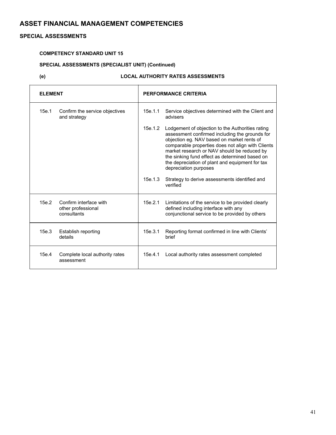### **SPECIAL ASSESSMENTS**

### **COMPETENCY STANDARD UNIT 15**

### **SPECIAL ASSESSMENTS (SPECIALIST UNIT) (Continued)**

### **(e) LOCAL AUTHORITY RATES ASSESSMENTS**

| <b>ELEMENT</b>                                                       | <b>PERFORMANCE CRITERIA</b>                                                                                                                                                                                                                                                                                                                                                                   |
|----------------------------------------------------------------------|-----------------------------------------------------------------------------------------------------------------------------------------------------------------------------------------------------------------------------------------------------------------------------------------------------------------------------------------------------------------------------------------------|
| 15e.1<br>Confirm the service objectives<br>and strategy              | 15e.1.1<br>Service objectives determined with the Client and<br>advisers                                                                                                                                                                                                                                                                                                                      |
|                                                                      | 15e.1.2<br>Lodgement of objection to the Authorities rating<br>assessment confirmed including the grounds for<br>objection eg. NAV based on market rents of<br>comparable properties does not align with Clients<br>market research or NAV should be reduced by<br>the sinking fund effect as determined based on<br>the depreciation of plant and equipment for tax<br>depreciation purposes |
|                                                                      | 15e.1.3<br>Strategy to derive assessments identified and<br>verified                                                                                                                                                                                                                                                                                                                          |
| 15e.2<br>Confirm interface with<br>other professional<br>consultants | 15e.2.1<br>Limitations of the service to be provided clearly<br>defined including interface with any<br>conjunctional service to be provided by others                                                                                                                                                                                                                                        |
| 15e.3<br>Establish reporting<br>details                              | Reporting format confirmed in line with Clients'<br>15e.3.1<br>brief                                                                                                                                                                                                                                                                                                                          |
| 15e.4<br>Complete local authority rates<br>assessment                | 15e.4.1<br>Local authority rates assessment completed                                                                                                                                                                                                                                                                                                                                         |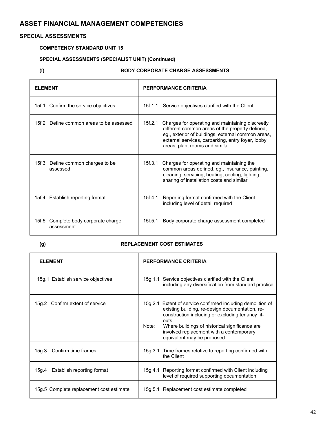### **SPECIAL ASSESSMENTS**

### **COMPETENCY STANDARD UNIT 15**

## **SPECIAL ASSESSMENTS (SPECIALIST UNIT) (Continued)**

### **(f) BODY CORPORATE CHARGE ASSESSMENTS**

| <b>ELEMENT</b>                                        | PERFORMANCE CRITERIA                                                                                                                                                                                                                                        |  |
|-------------------------------------------------------|-------------------------------------------------------------------------------------------------------------------------------------------------------------------------------------------------------------------------------------------------------------|--|
| 15f.1 Confirm the service objectives                  | 15f.1.1 Service objectives clarified with the Client                                                                                                                                                                                                        |  |
| 15f.2 Define common areas to be assessed              | 15f.2.1<br>Charges for operating and maintaining discreetly<br>different common areas of the property defined,<br>eg., exterior of buildings, external common areas,<br>external services, carparking, entry foyer, lobby<br>areas, plant rooms and similar |  |
| 15f.3 Define common charges to be<br>assessed         | 15f.3.1<br>Charges for operating and maintaining the<br>common areas defined, eg., insurance, painting,<br>cleaning, servicing, heating, cooling, lighting,<br>sharing of installation costs and similar                                                    |  |
| 15f.4 Establish reporting format                      | Reporting format confirmed with the Client<br>15f.4.1<br>including level of detail required                                                                                                                                                                 |  |
| Complete body corporate charge<br>15f.5<br>assessment | Body corporate charge assessment completed<br>15f.5.1                                                                                                                                                                                                       |  |

### **(g) REPLACEMENT COST ESTIMATES**

| <b>ELEMENT</b>                           | PERFORMANCE CRITERIA                                                                                                                                                                                                                                                                                             |  |
|------------------------------------------|------------------------------------------------------------------------------------------------------------------------------------------------------------------------------------------------------------------------------------------------------------------------------------------------------------------|--|
| 15g.1 Establish service objectives       | 15g.1.1 Service objectives clarified with the Client<br>including any diversification from standard practice                                                                                                                                                                                                     |  |
| 15g.2 Confirm extent of service          | 15g.2.1 Extent of service confirmed including demolition of<br>existing building, re-design documentation, re-<br>construction including or excluding tenancy fit-<br>outs.<br>Where buildings of historical significance are<br>Note:<br>involved replacement with a contemporary<br>equivalent may be proposed |  |
| Confirm time frames<br>15g.3             | 15g.3.1 Time frames relative to reporting confirmed with<br>the Client                                                                                                                                                                                                                                           |  |
| Establish reporting format<br>15g.4      | 15g.4.1 Reporting format confirmed with Client including<br>level of required supporting documentation                                                                                                                                                                                                           |  |
| 15g.5 Complete replacement cost estimate | 15g.5.1 Replacement cost estimate completed                                                                                                                                                                                                                                                                      |  |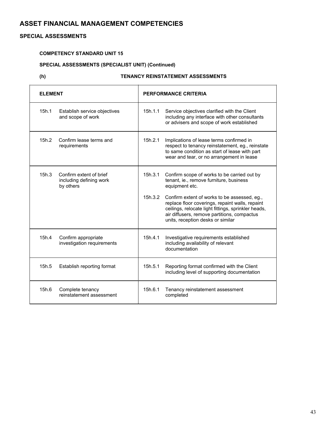### **SPECIAL ASSESSMENTS**

### **COMPETENCY STANDARD UNIT 15**

# **SPECIAL ASSESSMENTS (SPECIALIST UNIT) (Continued)**

### **(h) TENANCY REINSTATEMENT ASSESSMENTS**

| <b>ELEMENT</b> |                                                                 | PERFORMANCE CRITERIA |                                                                                                                                                                                                                                            |
|----------------|-----------------------------------------------------------------|----------------------|--------------------------------------------------------------------------------------------------------------------------------------------------------------------------------------------------------------------------------------------|
| 15h.1          | Establish service objectives<br>and scope of work               | 15h.1.1              | Service objectives clarified with the Client<br>including any interface with other consultants<br>or advisers and scope of work established                                                                                                |
| 15h.2          | Confirm lease terms and<br>requirements                         | 15h.2.1              | Implications of lease terms confirmed in<br>respect to tenancy reinstatement, eg., reinstate<br>to same condition as start of lease with part<br>wear and tear, or no arrangement in lease                                                 |
| 15h.3          | Confirm extent of brief<br>including defining work<br>by others | 15h.3.1              | Confirm scope of works to be carried out by<br>tenant, ie., remove furniture, business<br>equipment etc.                                                                                                                                   |
|                |                                                                 | 15h.3.2              | Confirm extent of works to be assessed, eg.,<br>replace floor coverings, repaint walls, repaint<br>ceilings, relocate light fittings, sprinkler heads,<br>air diffusers, remove partitions, compactus<br>units, reception desks or similar |
| 15h.4          | Confirm appropriate<br>investigation requirements               | 15h.4.1              | Investigative requirements established<br>including availability of relevant<br>documentation                                                                                                                                              |
| 15h.5          | Establish reporting format                                      | 15h.5.1              | Reporting format confirmed with the Client<br>including level of supporting documentation                                                                                                                                                  |
| 15h.6          | Complete tenancy<br>reinstatement assessment                    | 15h.6.1              | Tenancy reinstatement assessment<br>completed                                                                                                                                                                                              |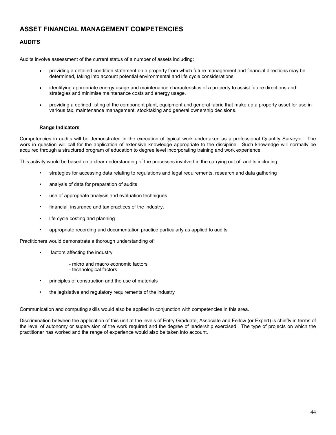### **AUDITS**

Audits involve assessment of the current status of a number of assets including:

- providing a detailed condition statement on a property from which future management and financial directions may be determined, taking into account potential environmental and life cycle considerations
- identifying appropriate energy usage and maintenance characteristics of a property to assist future directions and strategies and minimise maintenance costs and energy usage.
- providing a defined listing of the component plant, equipment and general fabric that make up a property asset for use in various tax, maintenance management, stocktaking and general ownership decisions.

#### **Range Indicators**

Competencies in audits will be demonstrated in the execution of typical work undertaken as a professional Quantity Surveyor. The work in question will call for the application of extensive knowledge appropriate to the discipline. Such knowledge will normally be acquired through a structured program of education to degree level incorporating training and work experience.

This activity would be based on a clear understanding of the processes involved in the carrying out of audits including:

- strategies for accessing data relating to regulations and legal requirements, research and data gathering
- analysis of data for preparation of audits
- use of appropriate analysis and evaluation techniques
- financial, insurance and tax practices of the industry.
- life cycle costing and planning
- appropriate recording and documentation practice particularly as applied to audits

Practitioners would demonstrate a thorough understanding of:

- factors affecting the industry
	- micro and macro economic factors
	- technological factors
- principles of construction and the use of materials
- the legislative and regulatory requirements of the industry

Communication and computing skills would also be applied in conjunction with competencies in this area.

Discrimination between the application of this unit at the levels of Entry Graduate, Associate and Fellow (or Expert) is chiefly in terms of the level of autonomy or supervision of the work required and the degree of leadership exercised. The type of projects on which the practitioner has worked and the range of experience would also be taken into account.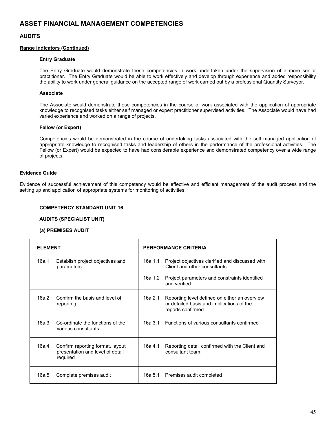### **AUDITS**

#### **Range Indicators (Continued)**

#### **Entry Graduate**

The Entry Graduate would demonstrate these competencies in work undertaken under the supervision of a more senior practitioner. The Entry Graduate would be able to work effectively and develop through experience and added responsibility the ability to work under general guidance on the accepted range of work carried out by a professional Quantity Surveyor.

#### **Associate**

The Associate would demonstrate these competencies in the course of work associated with the application of appropriate knowledge to recognised tasks either self managed or expert practitioner supervised activities. The Associate would have had varied experience and worked on a range of projects.

#### **Fellow (or Expert)**

Competencies would be demonstrated in the course of undertaking tasks associated with the self managed application of appropriate knowledge to recognised tasks and leadership of others in the performance of the professional activities. The Fellow (or Expert) would be expected to have had considerable experience and demonstrated competency over a wide range of projects.

#### **Evidence Guide**

Evidence of successful achievement of this competency would be effective and efficient management of the audit process and the setting up and application of appropriate systems for monitoring of activities.

#### **COMPETENCY STANDARD UNIT 16**

#### **AUDITS (SPECIALIST UNIT)**

#### **(a) PREMISES AUDIT**

| <b>ELEMENT</b> |                                                                                  | PERFORMANCE CRITERIA |                                                                                                                 |
|----------------|----------------------------------------------------------------------------------|----------------------|-----------------------------------------------------------------------------------------------------------------|
| 16a.1          | Establish project objectives and<br>parameters                                   | 16a.1.1              | Project objectives clarified and discussed with<br>Client and other consultants                                 |
|                |                                                                                  | 16a.1.2              | Project parameters and constraints identified<br>and verified                                                   |
| 16a.2          | Confirm the basis and level of<br>reporting                                      | 16a.2.1              | Reporting level defined on either an overview<br>or detailed basis and implications of the<br>reports confirmed |
| 16a.3          | Co-ordinate the functions of the<br>various consultants                          |                      | 16a.3.1 Functions of various consultants confirmed                                                              |
| 16a.4          | Confirm reporting format, layout<br>presentation and level of detail<br>required | 16a.4.1              | Reporting detail confirmed with the Client and<br>consultant team.                                              |
| 16a.5          | Complete premises audit                                                          | 16a.5.1              | Premises audit completed                                                                                        |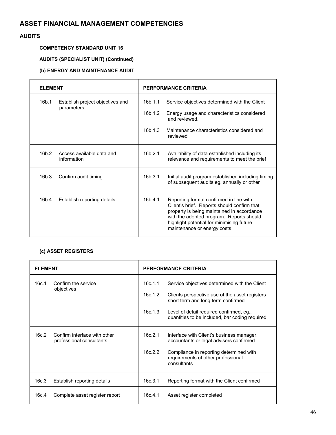### **AUDITS**

### **COMPETENCY STANDARD UNIT 16**

# **AUDITS (SPECIALIST UNIT) (Continued)**

### **(b) ENERGY AND MAINTENANCE AUDIT**

| <b>ELEMENT</b>                                                |                     | PERFORMANCE CRITERIA                                                                                                                                                                                                                                         |  |
|---------------------------------------------------------------|---------------------|--------------------------------------------------------------------------------------------------------------------------------------------------------------------------------------------------------------------------------------------------------------|--|
| 16 <sub>b.1</sub><br>Establish project objectives and         | 16b.1.1             | Service objectives determined with the Client                                                                                                                                                                                                                |  |
| parameters                                                    | 16b.1.2             | Energy usage and characteristics considered<br>and reviewed.                                                                                                                                                                                                 |  |
|                                                               | 16h.1.3<br>reviewed | Maintenance characteristics considered and                                                                                                                                                                                                                   |  |
| 16 <sub>b.2</sub><br>Access available data and<br>information | 16b.2.1             | Availability of data established including its<br>relevance and requirements to meet the brief                                                                                                                                                               |  |
| 16 <sub>b.3</sub><br>Confirm audit timing                     | 16b.3.1             | Initial audit program established including timing<br>of subsequent audits eg. annually or other                                                                                                                                                             |  |
| 16b.4<br>Establish reporting details                          | 16b.4.1             | Reporting format confirmed in line with<br>Client's brief. Reports should confirm that<br>property is being maintained in accordance<br>with the adopted program. Reports should<br>highlight potential for minimising future<br>maintenance or energy costs |  |

### **(c) ASSET REGISTERS**

| <b>ELEMENT</b> |                                                          | <b>PERFORMANCE CRITERIA</b>   |                                                                                                                                                                                                                                     |
|----------------|----------------------------------------------------------|-------------------------------|-------------------------------------------------------------------------------------------------------------------------------------------------------------------------------------------------------------------------------------|
| 16c.1          | Confirm the service<br>objectives                        | 16c.1.1<br>16c.1.2<br>16c.1.3 | Service objectives determined with the Client<br>Clients perspective use of the asset registers<br>short term and long term confirmed<br>Level of detail required confirmed, eg.,<br>quantities to be included, bar coding required |
| 16c.2          | Confirm interface with other<br>professional consultants | 16c.2.1<br>16c.2.2            | Interface with Client's business manager,<br>accountants or legal advisers confirmed<br>Compliance in reporting determined with<br>requirements of other professional<br>consultants                                                |
| 16c.3          | Establish reporting details                              | 16c.3.1                       | Reporting format with the Client confirmed                                                                                                                                                                                          |
| 16c.4          | Complete asset register report                           | 16c.4.1                       | Asset register completed                                                                                                                                                                                                            |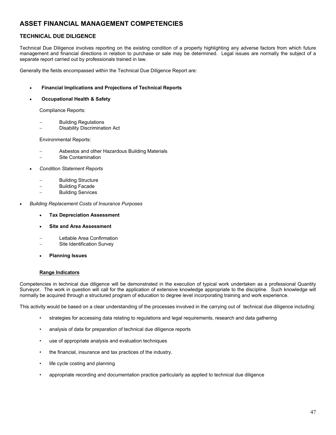### **TECHNICAL DUE DILIGENCE**

Technical Due Diligence involves reporting on the existing condition of a property highlighting any adverse factors from which future management and financial directions in relation to purchase or sale may be determined. Legal issues are normally the subject of a separate report carried out by professionals trained in law.

Generally the fields encompassed within the Technical Due Diligence Report are:

#### • **Financial Implications and Projections of Technical Reports**

#### • **Occupational Health & Safety**

Compliance Reports:

- − Building Regulations
- Disability Discrimination Act

Environmental Reports:

- − Asbestos and other Hazardous Building Materials
- − Site Contamination
- *Condition Statement Reports*
	- − Building Structure
	- Building Facade
	- − Building Services
- *Building Replacement Costs of Insurance Purposes*
	- **Tax Depreciation Assessment**
	- **Site and Area Assessment**
	- − Lettable Area Confirmation
	- Site Identification Survey
	- **Planning Issues**

#### **Range Indicators**

Competencies in technical due diligence will be demonstrated in the execution of typical work undertaken as a professional Quantity Surveyor. The work in question will call for the application of extensive knowledge appropriate to the discipline. Such knowledge will normally be acquired through a structured program of education to degree level incorporating training and work experience.

This activity would be based on a clear understanding of the processes involved in the carrying out of technical due diligence including:

- strategies for accessing data relating to regulations and legal requirements, research and data gathering
- analysis of data for preparation of technical due diligence reports
- use of appropriate analysis and evaluation techniques
- the financial, insurance and tax practices of the industry.
- life cycle costing and planning
- appropriate recording and documentation practice particularly as applied to technical due diligence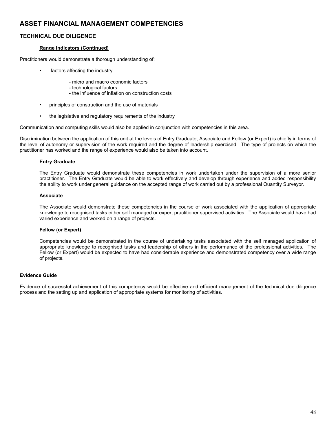### **TECHNICAL DUE DILIGENCE**

#### **Range Indicators (Continued)**

Practitioners would demonstrate a thorough understanding of:

- factors affecting the industry
	- micro and macro economic factors
	- technological factors
	- the influence of inflation on construction costs
- principles of construction and the use of materials
- the legislative and regulatory requirements of the industry

Communication and computing skills would also be applied in conjunction with competencies in this area.

Discrimination between the application of this unit at the levels of Entry Graduate, Associate and Fellow (or Expert) is chiefly in terms of the level of autonomy or supervision of the work required and the degree of leadership exercised. The type of projects on which the practitioner has worked and the range of experience would also be taken into account.

#### **Entry Graduate**

The Entry Graduate would demonstrate these competencies in work undertaken under the supervision of a more senior practitioner. The Entry Graduate would be able to work effectively and develop through experience and added responsibility the ability to work under general guidance on the accepted range of work carried out by a professional Quantity Surveyor.

#### **Associate**

The Associate would demonstrate these competencies in the course of work associated with the application of appropriate knowledge to recognised tasks either self managed or expert practitioner supervised activities. The Associate would have had varied experience and worked on a range of projects.

#### **Fellow (or Expert)**

Competencies would be demonstrated in the course of undertaking tasks associated with the self managed application of appropriate knowledge to recognised tasks and leadership of others in the performance of the professional activities. The Fellow (or Expert) would be expected to have had considerable experience and demonstrated competency over a wide range of projects.

### **Evidence Guide**

Evidence of successful achievement of this competency would be effective and efficient management of the technical due diligence process and the setting up and application of appropriate systems for monitoring of activities.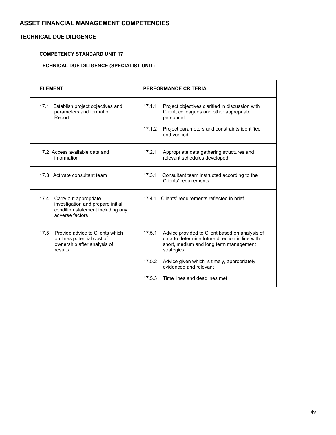# **TECHNICAL DUE DILIGENCE**

### **COMPETENCY STANDARD UNIT 17**

# **TECHNICAL DUE DILIGENCE (SPECIALIST UNIT)**

| <b>ELEMENT</b>                                                                                                          | PERFORMANCE CRITERIA                                                                                                                                                |
|-------------------------------------------------------------------------------------------------------------------------|---------------------------------------------------------------------------------------------------------------------------------------------------------------------|
| 17.1 Establish project objectives and<br>parameters and format of<br>Report                                             | 17.1.1<br>Project objectives clarified in discussion with<br>Client, colleagues and other appropriate<br>personnel                                                  |
|                                                                                                                         | 17.1.2<br>Project parameters and constraints identified<br>and verified                                                                                             |
| 17.2 Access available data and<br>information                                                                           | 17.2.1<br>Appropriate data gathering structures and<br>relevant schedules developed                                                                                 |
| 17.3 Activate consultant team                                                                                           | 17.3.1<br>Consultant team instructed according to the<br>Clients' requirements                                                                                      |
| 17.4 Carry out appropriate<br>investigation and prepare initial<br>condition statement including any<br>adverse factors | 17.4.1 Clients' requirements reflected in brief                                                                                                                     |
| 17.5<br>Provide advice to Clients which<br>outlines potential cost of<br>ownership after analysis of<br>results         | 17.5.1<br>Advice provided to Client based on analysis of<br>data to determine future direction in line with<br>short, medium and long term management<br>strategies |
|                                                                                                                         | Advice given which is timely, appropriately<br>17.5.2<br>evidenced and relevant                                                                                     |
|                                                                                                                         | 17.5.3<br>Time lines and deadlines met                                                                                                                              |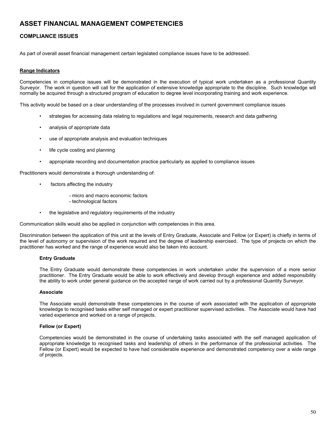### **COMPLIANCE ISSUES**

As part of overall asset financial management certain legislated compliance issues have to be addressed.

#### **Range Indicators**

Competencies in compliance issues will be demonstrated in the execution of typical work undertaken as a professional Quantity Surveyor. The work in question will call for the application of extensive knowledge appropriate to the discipline. Such knowledge will normally be acquired through a structured program of education to degree level incorporating training and work experience.

This activity would be based on a clear understanding of the processes involved in current government compliance issues

- strategies for accessing data relating to regulations and legal requirements, research and data gathering
- analysis of appropriate data
- use of appropriate analysis and evaluation techniques
- life cycle costing and planning
- appropriate recording and documentation practice particularly as applied to compliance issues

Practitioners would demonstrate a thorough understanding of:

- factors affecting the industry
	- micro and macro economic factors
	- technological factors
- the legislative and regulatory requirements of the industry

Communication skills would also be applied in conjunction with competencies in this area.

Discrimination between the application of this unit at the levels of Entry Graduate, Associate and Fellow (or Expert) is chiefly in terms of the level of autonomy or supervision of the work required and the degree of leadership exercised. The type of projects on which the practitioner has worked and the range of experience would also be taken into account.

#### **Entry Graduate**

The Entry Graduate would demonstrate these competencies in work undertaken under the supervision of a more senior practitioner. The Entry Graduate would be able to work effectively and develop through experience and added responsibility the ability to work under general guidance on the accepted range of work carried out by a professional Quantity Surveyor.

#### **Associate**

The Associate would demonstrate these competencies in the course of work associated with the application of appropriate knowledge to recognised tasks either self managed or expert practitioner supervised activities. The Associate would have had varied experience and worked on a range of projects.

#### **Fellow (or Expert)**

Competencies would be demonstrated in the course of undertaking tasks associated with the self managed application of appropriate knowledge to recognised tasks and leadership of others in the performance of the professional activities. The Fellow (or Expert) would be expected to have had considerable experience and demonstrated competency over a wide range of projects.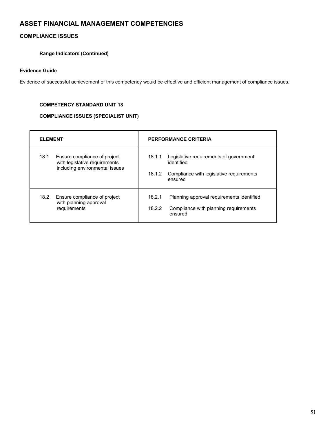# **COMPLIANCE ISSUES**

### **Range Indicators (Continued)**

### **Evidence Guide**

Evidence of successful achievement of this competency would be effective and efficient management of compliance issues.

### **COMPETENCY STANDARD UNIT 18**

### **COMPLIANCE ISSUES (SPECIALIST UNIT)**

| <b>ELEMENT</b> |                                                                                                 |                  | <b>PERFORMANCE CRITERIA</b>                                                                                 |
|----------------|-------------------------------------------------------------------------------------------------|------------------|-------------------------------------------------------------------------------------------------------------|
| 18.1           | Ensure compliance of project<br>with legislative requirements<br>including environmental issues | 18.1.1<br>18.1.2 | Legislative requirements of government<br>identified<br>Compliance with legislative requirements<br>ensured |
| 18.2           | Ensure compliance of project<br>with planning approval<br>requirements                          | 18.2.1<br>18.2.2 | Planning approval requirements identified<br>Compliance with planning requirements<br>ensured               |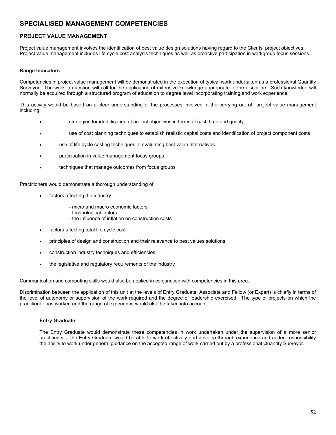### **PROJECT VALUE MANAGEMENT**

Project value management involves the identification of best value design solutions having regard to the Clients' project objectives. Project value management includes life cycle cost analysis techniques as well as proactive participation in workgroup focus sessions.

#### **Range Indicators**

Competencies in project value management will be demonstrated in the execution of typical work undertaken as a professional Quantity Surveyor. The work in question will call for the application of extensive knowledge appropriate to the discipline. Such knowledge will normally be acquired through a structured program of education to degree level incorporating training and work experience.

This activity would be based on a clear understanding of the processes involved in the carrying out of project value management including:

- strategies for identification of project objectives in terms of cost, time and quality
- use of cost planning techniques to establish realistic capital costs and identification of project component costs
- use of life cycle costing techniques in evaluating best value alternatives
- participation in value management focus groups
- techniques that manage outcomes from focus groups

Practitioners would demonstrate a thorough understanding of:

- factors affecting the industry
	- micro and macro economic factors
	- technological factors
	- the influence of inflation on construction costs
- factors affecting total life cycle cost
- principles of design and construction and their relevance to best values solutions
- construction industry techniques and efficiencies
- the legislative and regulatory requirements of the industry

Communication and computing skills would also be applied in conjunction with competencies in this area.

Discrimination between the application of this unit at the levels of Entry Graduate, Associate and Fellow (or Expert) is chiefly in terms of the level of autonomy or supervision of the work required and the degree of leadership exercised. The type of projects on which the practitioner has worked and the range of experience would also be taken into account.

#### **Entry Graduate**

The Entry Graduate would demonstrate these competencies in work undertaken under the supervision of a more senior practitioner. The Entry Graduate would be able to work effectively and develop through experience and added responsibility the ability to work under general guidance on the accepted range of work carried out by a professional Quantity Surveyor.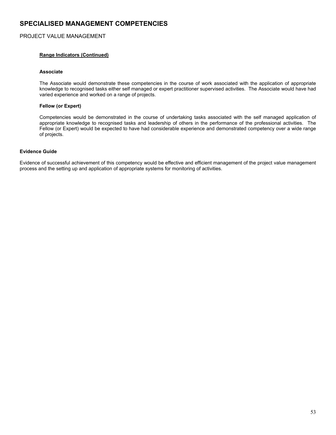#### PROJECT VALUE MANAGEMENT

#### **Range Indicators (Continued)**

#### **Associate**

The Associate would demonstrate these competencies in the course of work associated with the application of appropriate knowledge to recognised tasks either self managed or expert practitioner supervised activities. The Associate would have had varied experience and worked on a range of projects.

#### **Fellow (or Expert)**

Competencies would be demonstrated in the course of undertaking tasks associated with the self managed application of appropriate knowledge to recognised tasks and leadership of others in the performance of the professional activities. The Fellow (or Expert) would be expected to have had considerable experience and demonstrated competency over a wide range of projects.

### **Evidence Guide**

Evidence of successful achievement of this competency would be effective and efficient management of the project value management process and the setting up and application of appropriate systems for monitoring of activities.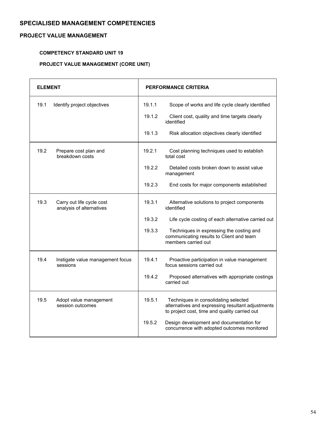### **PROJECT VALUE MANAGEMENT**

### **COMPETENCY STANDARD UNIT 19**

# **PROJECT VALUE MANAGEMENT (CORE UNIT)**

| <b>ELEMENT</b> |                                                       |        | PERFORMANCE CRITERIA                                                                                                                       |
|----------------|-------------------------------------------------------|--------|--------------------------------------------------------------------------------------------------------------------------------------------|
| 19.1           | Identify project objectives                           | 19.1.1 | Scope of works and life cycle clearly identified                                                                                           |
|                |                                                       | 19.1.2 | Client cost, quality and time targets clearly<br>identified                                                                                |
|                |                                                       | 19.1.3 | Risk allocation objectives clearly identified                                                                                              |
| 19.2           | Prepare cost plan and<br>breakdown costs              | 19.2.1 | Cost planning techniques used to establish<br>total cost                                                                                   |
|                |                                                       | 19.2.2 | Detailed costs broken down to assist value<br>management                                                                                   |
|                |                                                       | 19.2.3 | End costs for major components established                                                                                                 |
| 19.3           | Carry out life cycle cost<br>analysis of alternatives | 19.3.1 | Alternative solutions to project components<br>identified                                                                                  |
|                |                                                       | 19.3.2 | Life cycle costing of each alternative carried out                                                                                         |
|                |                                                       | 19.3.3 | Techniques in expressing the costing and<br>communicating results to Client and team<br>members carried out                                |
| 19.4           | Instigate value management focus<br>sessions          | 19.4.1 | Proactive participation in value management<br>focus sessions carried out                                                                  |
|                |                                                       | 19.4.2 | Proposed alternatives with appropriate costings<br>carried out                                                                             |
| 19.5           | Adopt value management<br>session outcomes            | 19.5.1 | Techniques in consolidating selected<br>alternatives and expressing resultant adjustments<br>to project cost, time and quality carried out |
|                |                                                       | 19.5.2 | Design development and documentation for<br>concurrence with adopted outcomes monitored                                                    |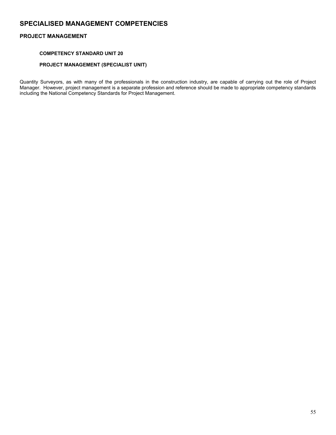### **PROJECT MANAGEMENT**

### **COMPETENCY STANDARD UNIT 20**

### **PROJECT MANAGEMENT (SPECIALIST UNIT)**

Quantity Surveyors, as with many of the professionals in the construction industry, are capable of carrying out the role of Project Manager. However, project management is a separate profession and reference should be made to appropriate competency standards including the National Competency Standards for Project Management.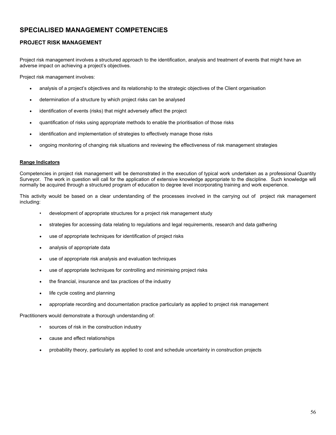### **PROJECT RISK MANAGEMENT**

Project risk management involves a structured approach to the identification, analysis and treatment of events that might have an adverse impact on achieving a project's objectives.

Project risk management involves:

- analysis of a project's objectives and its relationship to the strategic objectives of the Client organisation
- determination of a structure by which project risks can be analysed
- identification of events (risks) that might adversely affect the project
- quantification of risks using appropriate methods to enable the prioritisation of those risks
- identification and implementation of strategies to effectively manage those risks
- ongoing monitoring of changing risk situations and reviewing the effectiveness of risk management strategies

#### **Range Indicators**

Competencies in project risk management will be demonstrated in the execution of typical work undertaken as a professional Quantity Surveyor. The work in question will call for the application of extensive knowledge appropriate to the discipline. Such knowledge will normally be acquired through a structured program of education to degree level incorporating training and work experience.

This activity would be based on a clear understanding of the processes involved in the carrying out of project risk management including:

- development of appropriate structures for a project risk management study
- strategies for accessing data relating to regulations and legal requirements, research and data gathering
- use of appropriate techniques for identification of project risks
- analysis of appropriate data
- use of appropriate risk analysis and evaluation techniques
- use of appropriate techniques for controlling and minimising project risks
- the financial, insurance and tax practices of the industry
- life cycle costing and planning
- appropriate recording and documentation practice particularly as applied to project risk management

Practitioners would demonstrate a thorough understanding of:

- sources of risk in the construction industry
- cause and effect relationships
- probability theory, particularly as applied to cost and schedule uncertainty in construction projects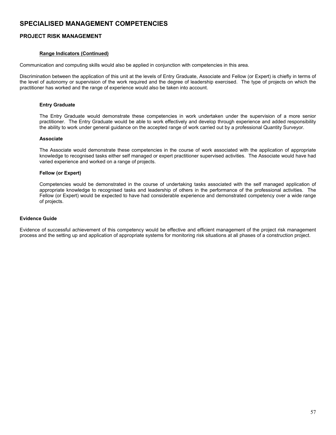### **PROJECT RISK MANAGEMENT**

#### **Range Indicators (Continued)**

Communication and computing skills would also be applied in conjunction with competencies in this area.

Discrimination between the application of this unit at the levels of Entry Graduate, Associate and Fellow (or Expert) is chiefly in terms of the level of autonomy or supervision of the work required and the degree of leadership exercised. The type of projects on which the practitioner has worked and the range of experience would also be taken into account.

#### **Entry Graduate**

The Entry Graduate would demonstrate these competencies in work undertaken under the supervision of a more senior practitioner. The Entry Graduate would be able to work effectively and develop through experience and added responsibility the ability to work under general guidance on the accepted range of work carried out by a professional Quantity Surveyor.

#### **Associate**

The Associate would demonstrate these competencies in the course of work associated with the application of appropriate knowledge to recognised tasks either self managed or expert practitioner supervised activities. The Associate would have had varied experience and worked on a range of projects.

#### **Fellow (or Expert)**

Competencies would be demonstrated in the course of undertaking tasks associated with the self managed application of appropriate knowledge to recognised tasks and leadership of others in the performance of the professional activities. The Fellow (or Expert) would be expected to have had considerable experience and demonstrated competency over a wide range of projects.

#### **Evidence Guide**

Evidence of successful achievement of this competency would be effective and efficient management of the project risk management process and the setting up and application of appropriate systems for monitoring risk situations at all phases of a construction project.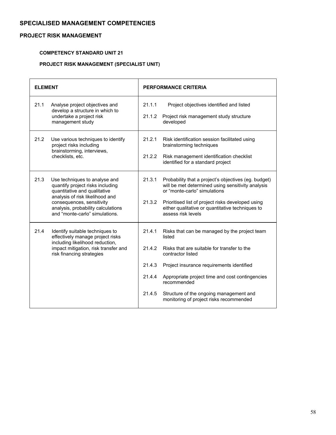### **PROJECT RISK MANAGEMENT**

### **COMPETENCY STANDARD UNIT 21**

# **PROJECT RISK MANAGEMENT (SPECIALIST UNIT)**

| <b>ELEMENT</b> |                                                                                                                                                                                                                                           |                                                | <b>PERFORMANCE CRITERIA</b>                                                                                                                                                                                                                                                                                                      |
|----------------|-------------------------------------------------------------------------------------------------------------------------------------------------------------------------------------------------------------------------------------------|------------------------------------------------|----------------------------------------------------------------------------------------------------------------------------------------------------------------------------------------------------------------------------------------------------------------------------------------------------------------------------------|
| 21.1           | Analyse project objectives and<br>develop a structure in which to<br>undertake a project risk<br>management study                                                                                                                         | 21.1.1<br>21.1.2                               | Project objectives identified and listed<br>Project risk management study structure<br>developed                                                                                                                                                                                                                                 |
| 21.2           | Use various techniques to identify<br>project risks including<br>brainstorming, interviews,<br>checklists, etc.                                                                                                                           | 21.2.1<br>21.2.2                               | Risk identification session facilitated using<br>brainstorming techniques<br>Risk management identification checklist<br>identified for a standard project                                                                                                                                                                       |
| 21.3           | Use techniques to analyse and<br>quantify project risks including<br>quantitative and qualitative<br>analysis of risk likelihood and<br>consequences, sensitivity<br>analysis, probability calculations<br>and "monte-carlo" simulations. | 21.3.1<br>21.3.2                               | Probability that a project's objectives (eg. budget)<br>will be met determined using sensitivity analysis<br>or "monte-carlo" simulations<br>Prioritised list of project risks developed using<br>either qualitative or quantitative techniques to<br>assess risk levels                                                         |
| 21.4           | Identify suitable techniques to<br>effectively manage project risks<br>including likelihood reduction,<br>impact mitigation, risk transfer and<br>risk financing strategies                                                               | 21.4.1<br>21.4.2<br>21.4.3<br>21.4.4<br>21.4.5 | Risks that can be managed by the project team<br>listed<br>Risks that are suitable for transfer to the<br>contractor listed<br>Project insurance requirements identified<br>Appropriate project time and cost contingencies<br>recommended<br>Structure of the ongoing management and<br>monitoring of project risks recommended |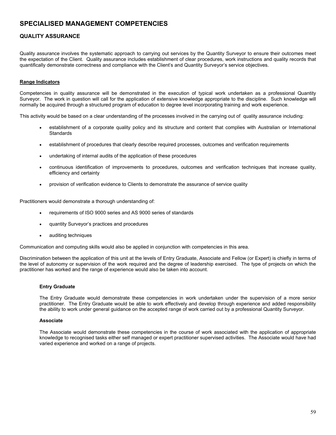### **QUALITY ASSURANCE**

Quality assurance involves the systematic approach to carrying out services by the Quantity Surveyor to ensure their outcomes meet the expectation of the Client. Quality assurance includes establishment of clear procedures, work instructions and quality records that quantifically demonstrate correctness and compliance with the Client's and Quantity Surveyor's service objectives.

#### **Range Indicators**

Competencies in quality assurance will be demonstrated in the execution of typical work undertaken as a professional Quantity Surveyor. The work in question will call for the application of extensive knowledge appropriate to the discipline. Such knowledge will normally be acquired through a structured program of education to degree level incorporating training and work experience.

This activity would be based on a clear understanding of the processes involved in the carrying out of quality assurance including:

- establishment of a corporate quality policy and its structure and content that complies with Australian or International **Standards**
- establishment of procedures that clearly describe required processes, outcomes and verification requirements
- undertaking of internal audits of the application of these procedures
- continuous identification of improvements to procedures, outcomes and verification techniques that increase quality, efficiency and certainty
- provision of verification evidence to Clients to demonstrate the assurance of service quality

Practitioners would demonstrate a thorough understanding of:

- requirements of ISO 9000 series and AS 9000 series of standards
- quantity Surveyor's practices and procedures
- auditing techniques

Communication and computing skills would also be applied in conjunction with competencies in this area.

Discrimination between the application of this unit at the levels of Entry Graduate, Associate and Fellow (or Expert) is chiefly in terms of the level of autonomy or supervision of the work required and the degree of leadership exercised. The type of projects on which the practitioner has worked and the range of experience would also be taken into account.

#### **Entry Graduate**

The Entry Graduate would demonstrate these competencies in work undertaken under the supervision of a more senior practitioner. The Entry Graduate would be able to work effectively and develop through experience and added responsibility the ability to work under general guidance on the accepted range of work carried out by a professional Quantity Surveyor.

#### **Associate**

The Associate would demonstrate these competencies in the course of work associated with the application of appropriate knowledge to recognised tasks either self managed or expert practitioner supervised activities. The Associate would have had varied experience and worked on a range of projects.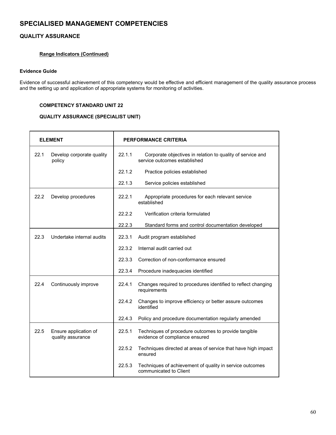### **QUALITY ASSURANCE**

### **Range Indicators (Continued)**

### **Evidence Guide**

Evidence of successful achievement of this competency would be effective and efficient management of the quality assurance process and the setting up and application of appropriate systems for monitoring of activities.

#### **COMPETENCY STANDARD UNIT 22**

### **QUALITY ASSURANCE (SPECIALIST UNIT)**

|      | <b>ELEMENT</b>                             | <b>PERFORMANCE CRITERIA</b> |                                                                                            |  |
|------|--------------------------------------------|-----------------------------|--------------------------------------------------------------------------------------------|--|
| 22.1 | Develop corporate quality<br>policy        | 22.1.1                      | Corporate objectives in relation to quality of service and<br>service outcomes established |  |
|      |                                            | 22.1.2                      | Practice policies established                                                              |  |
|      |                                            | 22.1.3                      | Service policies established                                                               |  |
| 22.2 | Develop procedures                         | 22.2.1                      | Appropriate procedures for each relevant service<br>established                            |  |
|      |                                            | 22.2.2                      | Verification criteria formulated                                                           |  |
|      |                                            | 22.2.3                      | Standard forms and control documentation developed                                         |  |
| 22.3 | Undertake internal audits                  | 22.3.1                      | Audit program established                                                                  |  |
|      |                                            | 22.3.2                      | Internal audit carried out                                                                 |  |
|      |                                            | 22.3.3                      | Correction of non-conformance ensured                                                      |  |
|      |                                            | 22.3.4                      | Procedure inadequacies identified                                                          |  |
| 22.4 | Continuously improve                       | 22.4.1                      | Changes required to procedures identified to reflect changing<br>requirements              |  |
|      |                                            | 22.4.2                      | Changes to improve efficiency or better assure outcomes<br>identified                      |  |
|      |                                            | 22.4.3                      | Policy and procedure documentation regularly amended                                       |  |
| 22.5 | Ensure application of<br>quality assurance | 22.5.1                      | Techniques of procedure outcomes to provide tangible<br>evidence of compliance ensured     |  |
|      |                                            | 22.5.2                      | Techniques directed at areas of service that have high impact<br>ensured                   |  |
|      |                                            | 22.5.3                      | Techniques of achievement of quality in service outcomes<br>communicated to Client         |  |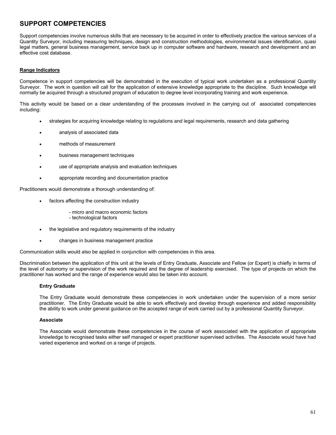Support competencies involve numerous skills that are necessary to be acquired in order to effectively practice the various services of a Quantity Surveyor, including measuring techniques, design and construction methodologies, environmental issues identification, quasi legal matters, general business management, service back up in computer software and hardware, research and development and an effective cost database.

#### **Range Indicators**

Competence in support competencies will be demonstrated in the execution of typical work undertaken as a professional Quantity Surveyor. The work in question will call for the application of extensive knowledge appropriate to the discipline. Such knowledge will normally be acquired through a structured program of education to degree level incorporating training and work experience.

This activity would be based on a clear understanding of the processes involved in the carrying out of associated competencies including:

- strategies for acquiring knowledge relating to regulations and legal requirements, research and data gathering
- analysis of associated data
- methods of measurement
- business management techniques
- use of appropriate analysis and evaluation techniques
- appropriate recording and documentation practice

Practitioners would demonstrate a thorough understanding of:

- factors affecting the construction industry
	- micro and macro economic factors
	- technological factors
- the legislative and regulatory reguirements of the industry
- changes in business management practice

Communication skills would also be applied in conjunction with competencies in this area.

Discrimination between the application of this unit at the levels of Entry Graduate, Associate and Fellow (or Expert) is chiefly in terms of the level of autonomy or supervision of the work required and the degree of leadership exercised. The type of projects on which the practitioner has worked and the range of experience would also be taken into account.

#### **Entry Graduate**

The Entry Graduate would demonstrate these competencies in work undertaken under the supervision of a more senior practitioner. The Entry Graduate would be able to work effectively and develop through experience and added responsibility the ability to work under general guidance on the accepted range of work carried out by a professional Quantity Surveyor.

#### **Associate**

The Associate would demonstrate these competencies in the course of work associated with the application of appropriate knowledge to recognised tasks either self managed or expert practitioner supervised activities. The Associate would have had varied experience and worked on a range of projects.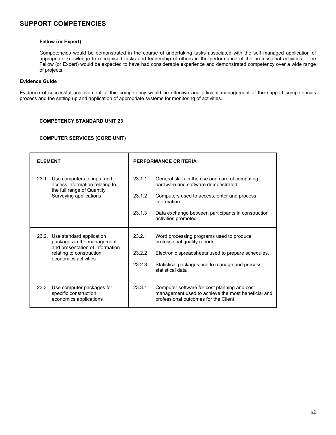#### **Fellow (or Expert)**

Competencies would be demonstrated in the course of undertaking tasks associated with the self managed application of appropriate knowledge to recognised tasks and leadership of others in the performance of the professional activities. The Fellow (or Expert) would be expected to have had considerable experience and demonstrated competency over a wide range of projects.

### **Evidence Guide**

Evidence of successful achievement of this competency would be effective and efficient management of the support competencies process and the setting up and application of appropriate systems for monitoring of activities.

### **COMPETENCY STANDARD UNIT 23**

#### **COMPUTER SERVICES (CORE UNIT)**

| <b>ELEMENT</b>                                                                                                               | PERFORMANCE CRITERIA                                                                                                                                                    |  |  |
|------------------------------------------------------------------------------------------------------------------------------|-------------------------------------------------------------------------------------------------------------------------------------------------------------------------|--|--|
| 23.1<br>Use computers to input and<br>access information relating to<br>the full range of Quantity<br>Surveying applications | 23.1.1<br>General skills in the use and care of computing<br>hardware and software demonstrated<br>23.1.2<br>Computers used to access, enter and process<br>information |  |  |
|                                                                                                                              | 23.1.3<br>Data exchange between participants in construction<br>activities promoted                                                                                     |  |  |
| 23.2. Use standard application<br>packages in the management<br>and presentation of information                              | 23.2.1<br>Word processing programs used to produce<br>professional quality reports                                                                                      |  |  |
| relating to construction<br>economics activities                                                                             | 23.2.2<br>Electronic spreadsheets used to prepare schedules.                                                                                                            |  |  |
|                                                                                                                              | 23.2.3<br>Statistical packages use to manage and process<br>statistical data                                                                                            |  |  |
| 23.3<br>Use computer packages for<br>specific construction<br>economics applications                                         | 23.3.1<br>Computer software for cost planning and cost<br>management used to achieve the most beneficial and<br>professional outcomes for the Client                    |  |  |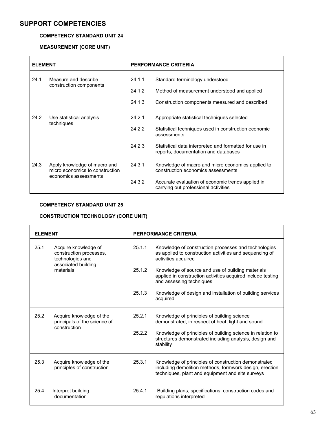### **COMPETENCY STANDARD UNIT 24**

### **MEASUREMENT (CORE UNIT)**

| <b>ELEMENT</b>                                 |                                                                 | <b>PERFORMANCE CRITERIA</b>                                         |                                                                                               |
|------------------------------------------------|-----------------------------------------------------------------|---------------------------------------------------------------------|-----------------------------------------------------------------------------------------------|
| 24.1<br>Measure and describe                   | 24.1.1                                                          | Standard terminology understood                                     |                                                                                               |
|                                                | construction components                                         | 24.1.2                                                              | Method of measurement understood and applied                                                  |
|                                                |                                                                 | 24.1.3                                                              | Construction components measured and described                                                |
| 24.2<br>Use statistical analysis<br>techniques | 24.2.1                                                          | Appropriate statistical techniques selected                         |                                                                                               |
|                                                | 24.2.2                                                          | Statistical techniques used in construction economic<br>assessments |                                                                                               |
|                                                |                                                                 | 24.2.3                                                              | Statistical data interpreted and formatted for use in<br>reports, documentation and databases |
| 24.3                                           | Apply knowledge of macro and<br>micro economics to construction | 24.3.1                                                              | Knowledge of macro and micro economics applied to<br>construction economics assessments       |
|                                                | economics assessments                                           | 24.3.2                                                              | Accurate evaluation of economic trends applied in<br>carrying out professional activities     |

### **COMPETENCY STANDARD UNIT 25**

### **CONSTRUCTION TECHNOLOGY (CORE UNIT)**

| <b>ELEMENT</b>                                   |                                                          |        | <b>PERFORMANCE CRITERIA</b>                                                                                                                                         |  |
|--------------------------------------------------|----------------------------------------------------------|--------|---------------------------------------------------------------------------------------------------------------------------------------------------------------------|--|
| 25.1<br>Acquire knowledge of<br>technologies and | construction processes,<br>associated building           | 25.1.1 | Knowledge of construction processes and technologies<br>as applied to construction activities and sequencing of<br>activities acquired                              |  |
|                                                  | materials                                                | 25.1.2 | Knowledge of source and use of building materials<br>applied in construction activities acquired include testing<br>and assessing techniques                        |  |
|                                                  |                                                          | 25.1.3 | Knowledge of design and installation of building services<br>acquired                                                                                               |  |
| 25.2                                             | Acquire knowledge of the<br>principals of the science of | 25.2.1 | Knowledge of principles of building science<br>demonstrated, in respect of heat, light and sound                                                                    |  |
|                                                  | construction                                             | 25.2.2 | Knowledge of principles of building science in relation to<br>structures demonstrated including analysis, design and<br>stability                                   |  |
| 25.3                                             | Acquire knowledge of the<br>principles of construction   | 25.3.1 | Knowledge of principles of construction demonstrated<br>including demolition methods, formwork design, erection<br>techniques, plant and equipment and site surveys |  |
| 25.4                                             | Interpret building<br>documentation                      | 25.4.1 | Building plans, specifications, construction codes and<br>regulations interpreted                                                                                   |  |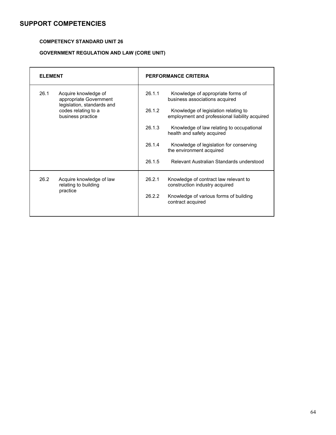### **COMPETENCY STANDARD UNIT 26**

# **GOVERNMENT REGULATION AND LAW (CORE UNIT)**

| <b>ELEMENT</b>                                         |                                                                        |                                                                     | PERFORMANCE CRITERIA                                                                   |
|--------------------------------------------------------|------------------------------------------------------------------------|---------------------------------------------------------------------|----------------------------------------------------------------------------------------|
| 26.1<br>Acquire knowledge of<br>appropriate Government | 26.1.1                                                                 | Knowledge of appropriate forms of<br>business associations acquired |                                                                                        |
|                                                        | legislation, standards and<br>codes relating to a<br>business practice | 26.1.2                                                              | Knowledge of legislation relating to<br>employment and professional liability acquired |
|                                                        |                                                                        | 26.1.3                                                              | Knowledge of law relating to occupational<br>health and safety acquired                |
|                                                        |                                                                        | 26.1.4                                                              | Knowledge of legislation for conserving<br>the environment acquired                    |
|                                                        |                                                                        | 26.1.5                                                              | Relevant Australian Standards understood                                               |
| 26.2                                                   | Acquire knowledge of law<br>relating to building<br>practice           | 26.2.1                                                              | Knowledge of contract law relevant to<br>construction industry acquired                |
|                                                        |                                                                        | 26.2.2                                                              | Knowledge of various forms of building<br>contract acquired                            |
|                                                        |                                                                        |                                                                     |                                                                                        |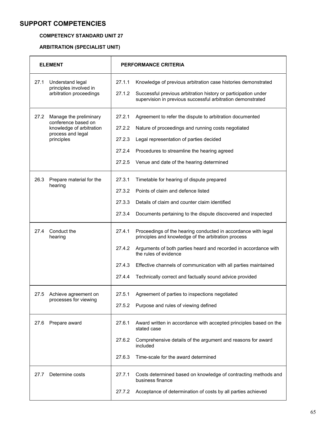### **COMPETENCY STANDARD UNIT 27**

# **ARBITRATION (SPECIALIST UNIT)**

| <b>ELEMENT</b>                                        | <b>PERFORMANCE CRITERIA</b>                                                                                                             |  |
|-------------------------------------------------------|-----------------------------------------------------------------------------------------------------------------------------------------|--|
| 27.1<br>Understand legal<br>principles involved in    | 27.1.1<br>Knowledge of previous arbitration case histories demonstrated                                                                 |  |
| arbitration proceedings                               | 27.1.2<br>Successful previous arbitration history or participation under<br>supervision in previous successful arbitration demonstrated |  |
| 27.2<br>Manage the preliminary<br>conference based on | 27.2.1<br>Agreement to refer the dispute to arbitration documented                                                                      |  |
| knowledge of arbitration<br>process and legal         | 27.2.2<br>Nature of proceedings and running costs negotiated                                                                            |  |
| principles                                            | 27.2.3<br>Legal representation of parties decided                                                                                       |  |
|                                                       | 27.2.4<br>Procedures to streamline the hearing agreed                                                                                   |  |
|                                                       | 27.2.5<br>Venue and date of the hearing determined                                                                                      |  |
| 26.3<br>Prepare material for the<br>hearing           | 27.3.1<br>Timetable for hearing of dispute prepared                                                                                     |  |
|                                                       | 27.3.2<br>Points of claim and defence listed                                                                                            |  |
|                                                       | 27.3.3<br>Details of claim and counter claim identified                                                                                 |  |
|                                                       | 27.3.4<br>Documents pertaining to the dispute discovered and inspected                                                                  |  |
| 27.4<br>Conduct the<br>hearing                        | 27.4.1<br>Proceedings of the hearing conducted in accordance with legal<br>principles and knowledge of the arbitration process          |  |
|                                                       | Arguments of both parties heard and recorded in accordance with<br>27.4.2<br>the rules of evidence                                      |  |
|                                                       | 27.4.3<br>Effective channels of communication with all parties maintained                                                               |  |
|                                                       | Technically correct and factually sound advice provided<br>27.4.4                                                                       |  |
| 27.5<br>Achieve agreement on<br>processes for viewing | Agreement of parties to inspections negotiated<br>27.5.1                                                                                |  |
|                                                       | Purpose and rules of viewing defined<br>27.5.2                                                                                          |  |
| 27.6<br>Prepare award                                 | 27.6.1<br>Award written in accordance with accepted principles based on the<br>stated case                                              |  |
|                                                       | 27.6.2<br>Comprehensive details of the argument and reasons for award<br>included                                                       |  |
|                                                       | Time-scale for the award determined<br>27.6.3                                                                                           |  |
| Determine costs<br>27.7                               | 27.7.1<br>Costs determined based on knowledge of contracting methods and<br>business finance                                            |  |
|                                                       | 27.7.2<br>Acceptance of determination of costs by all parties achieved                                                                  |  |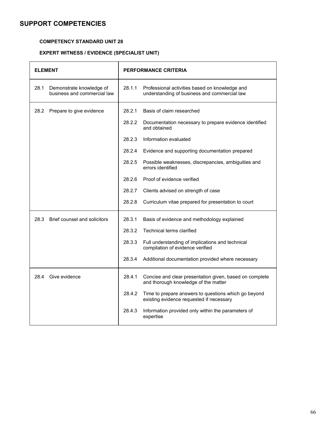### **COMPETENCY STANDARD UNIT 28**

# **EXPERT WITNESS / EVIDENCE (SPECIALIST UNIT)**

| <b>ELEMENT</b> |                                                         | PERFORMANCE CRITERIA |                                                                                                  |
|----------------|---------------------------------------------------------|----------------------|--------------------------------------------------------------------------------------------------|
| 28.1           | Demonstrate knowledge of<br>business and commercial law | 28.1.1               | Professional activities based on knowledge and<br>understanding of business and commercial law   |
| 28.2           | Prepare to give evidence                                | 28.2.1               | Basis of claim researched                                                                        |
|                |                                                         | 28.2.2               | Documentation necessary to prepare evidence identified<br>and obtained                           |
|                |                                                         | 28.2.3               | Information evaluated                                                                            |
|                |                                                         | 28.2.4               | Evidence and supporting documentation prepared                                                   |
|                |                                                         | 28.2.5               | Possible weaknesses, discrepancies, ambiguities and<br>errors identified                         |
|                |                                                         | 28.2.6               | Proof of evidence verified                                                                       |
|                |                                                         | 28.2.7               | Clients advised on strength of case                                                              |
|                |                                                         | 28.2.8               | Curriculum vitae prepared for presentation to court                                              |
| 28.3           | Brief counsel and solicitors                            | 28.3.1               | Basis of evidence and methodology explained                                                      |
|                |                                                         | 28.3.2               | Technical terms clarified                                                                        |
|                |                                                         | 28.3.3               | Full understanding of implications and technical<br>compilation of evidence verified             |
|                |                                                         | 28.3.4               | Additional documentation provided where necessary                                                |
| 28.4           | Give evidence                                           | 28.4.1               | Concise and clear presentation given, based on complete<br>and thorough knowledge of the matter  |
|                |                                                         | 28.4.2               | Time to prepare answers to questions which go beyond<br>existing evidence requested if necessary |
|                |                                                         | 28.4.3               | Information provided only within the parameters of<br>expertise                                  |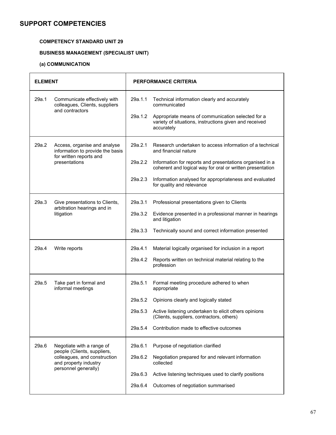### **COMPETENCY STANDARD UNIT 29**

# **BUSINESS MANAGEMENT (SPECIALIST UNIT)**

# **(a) COMMUNICATION**

| <b>ELEMENT</b> |                                                                                                                                           |                                          | <b>PERFORMANCE CRITERIA</b>                                                                                                                                                                                                                                                                      |
|----------------|-------------------------------------------------------------------------------------------------------------------------------------------|------------------------------------------|--------------------------------------------------------------------------------------------------------------------------------------------------------------------------------------------------------------------------------------------------------------------------------------------------|
| 29a.1          | Communicate effectively with<br>colleagues, Clients, suppliers<br>and contractors                                                         | 29a.1.1<br>29a.1.2                       | Technical information clearly and accurately<br>communicated<br>Appropriate means of communication selected for a<br>variety of situations, instructions given and received<br>accurately                                                                                                        |
| 29a.2          | Access, organise and analyse<br>information to provide the basis<br>for written reports and<br>presentations                              | 29a.2.1<br>29a.2.2<br>29a.2.3            | Research undertaken to access information of a technical<br>and financial nature<br>Information for reports and presentations organised in a<br>coherent and logical way for oral or written presentation<br>Information analysed for appropriateness and evaluated<br>for quality and relevance |
| 29a.3          | Give presentations to Clients,<br>arbitration hearings and in<br>litigation                                                               | 29a.3.1<br>29a.3.2<br>29a.3.3            | Professional presentations given to Clients<br>Evidence presented in a professional manner in hearings<br>and litigation<br>Technically sound and correct information presented                                                                                                                  |
| 29a.4          | Write reports                                                                                                                             | 29a.4.1<br>29a.4.2                       | Material logically organised for inclusion in a report<br>Reports written on technical material relating to the<br>profession                                                                                                                                                                    |
| 29a.5          | Take part in formal and<br>informal meetings                                                                                              | 29a.5.1<br>29a.5.2<br>29a.5.3<br>29a.5.4 | Formal meeting procedure adhered to when<br>appropriate<br>Opinions clearly and logically stated<br>Active listening undertaken to elicit others opinions<br>(Clients, suppliers, contractors, others)<br>Contribution made to effective outcomes                                                |
| 29a.6          | Negotiate with a range of<br>people (Clients, suppliers,<br>colleagues, and construction<br>and property industry<br>personnel generally) | 29a.6.1<br>29a.6.2<br>29a.6.3<br>29a.6.4 | Purpose of negotiation clarified<br>Negotiation prepared for and relevant information<br>collected<br>Active listening techniques used to clarify positions<br>Outcomes of negotiation summarised                                                                                                |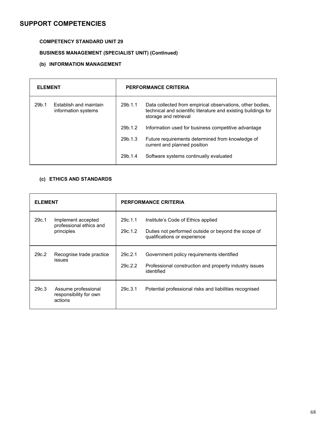### **COMPETENCY STANDARD UNIT 29**

# **BUSINESS MANAGEMENT (SPECIALIST UNIT) (Continued)**

# **(b) INFORMATION MANAGEMENT**

| <b>ELEMENT</b> |                                               | <b>PERFORMANCE CRITERIA</b> |                                                                                                                                                      |
|----------------|-----------------------------------------------|-----------------------------|------------------------------------------------------------------------------------------------------------------------------------------------------|
| 29b.1          | Establish and maintain<br>information systems | 29b.1.1                     | Data collected from empirical observations, other bodies,<br>technical and scientific literature and existing buildings for<br>storage and retrieval |
|                |                                               | 29b.1.2                     | Information used for business competitive advantage                                                                                                  |
|                |                                               | 29b.1.3                     | Future requirements determined from knowledge of<br>current and planned position                                                                     |
|                |                                               | 29b.1.4                     | Software systems continually evaluated                                                                                                               |

### **(c) ETHICS AND STANDARDS**

| <b>ELEMENT</b> |                                                             | <b>PERFORMANCE CRITERIA</b> |                                                                                                                           |  |  |
|----------------|-------------------------------------------------------------|-----------------------------|---------------------------------------------------------------------------------------------------------------------------|--|--|
| 29c.1          | Implement accepted<br>professional ethics and<br>principles | 29c.1.1<br>29c.1.2          | Institute's Code of Ethics applied<br>Duties not performed outside or beyond the scope of<br>qualifications or experience |  |  |
| 29c.2          | Recognise trade practice<br>issues                          | 29c.2.1<br>29c.2.2          | Government policy requirements identified<br>Professional construction and property industry issues<br>identified         |  |  |
| 29c.3          | Assume professional<br>responsibility for own<br>actions    | 29c.3.1                     | Potential professional risks and liabilities recognised                                                                   |  |  |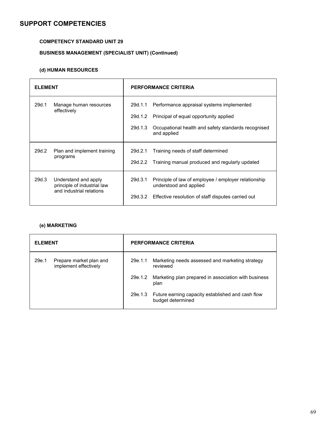### **COMPETENCY STANDARD UNIT 29**

# **BUSINESS MANAGEMENT (SPECIALIST UNIT) (Continued)**

## **(d) HUMAN RESOURCES**

| <b>FI FMFNT</b> |                                                                                 | PERFORMANCE CRITERIA          |                                                                                                                                                           |  |
|-----------------|---------------------------------------------------------------------------------|-------------------------------|-----------------------------------------------------------------------------------------------------------------------------------------------------------|--|
| 29d.1           | Manage human resources<br>effectively                                           | 29d.1.1<br>29d.1.2<br>29d.1.3 | Performance appraisal systems implemented<br>Principal of equal opportunity applied<br>Occupational health and safety standards recognised<br>and applied |  |
| 29d.2           | Plan and implement training<br>programs                                         | 29d.2.1<br>29d.2.2            | Training needs of staff determined<br>Training manual produced and regularly updated                                                                      |  |
| 29d.3           | Understand and apply<br>principle of industrial law<br>and industrial relations | 29d.3.1                       | Principle of law of employee / employer relationship<br>understood and applied<br>29d.3.2 Effective resolution of staff disputes carried out              |  |

### **(e) MARKETING**

| <b>ELEMENT</b> |                                                  | <b>PERFORMANCE CRITERIA</b> |                                                                                |  |
|----------------|--------------------------------------------------|-----------------------------|--------------------------------------------------------------------------------|--|
| 29e.1          | Prepare market plan and<br>implement effectively | 29e.1.1                     | Marketing needs assessed and marketing strategy<br>reviewed                    |  |
|                |                                                  | 29e.1.2                     | Marketing plan prepared in association with business<br>plan                   |  |
|                |                                                  |                             | 29e.1.3 Future earning capacity established and cash flow<br>budget determined |  |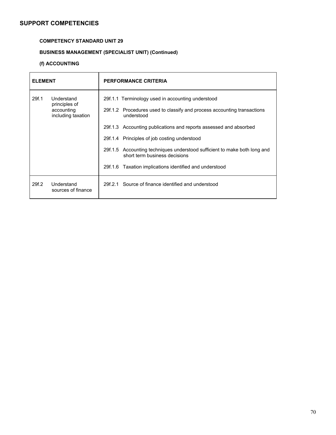#### **COMPETENCY STANDARD UNIT 29**

### **BUSINESS MANAGEMENT (SPECIALIST UNIT) (Continued)**

#### **(f) ACCOUNTING**

| <b>FI FMFNT</b> |                                                                 | <b>PERFORMANCE CRITERIA</b>                                                                                                                                                                                                                                                                                                                                                                                                              |  |  |  |
|-----------------|-----------------------------------------------------------------|------------------------------------------------------------------------------------------------------------------------------------------------------------------------------------------------------------------------------------------------------------------------------------------------------------------------------------------------------------------------------------------------------------------------------------------|--|--|--|
| 29f.1           | Understand<br>principles of<br>accounting<br>including taxation | 29f.1.1 Terminology used in accounting understood<br>29f.1.2 Procedures used to classify and process accounting transactions<br>understood<br>29f.1.3 Accounting publications and reports assessed and absorbed<br>29f.1.4 Principles of job costing understood<br>29f.1.5 Accounting techniques understood sufficient to make both long and<br>short term business decisions<br>29f.1.6 Taxation implications identified and understood |  |  |  |
| 29f.2           | Understand<br>sources of finance                                | 29f.2.1 Source of finance identified and understood                                                                                                                                                                                                                                                                                                                                                                                      |  |  |  |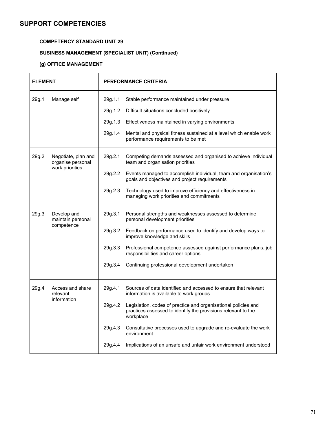#### **COMPETENCY STANDARD UNIT 29**

### **BUSINESS MANAGEMENT (SPECIALIST UNIT) (Continued)**

### **(g) OFFICE MANAGEMENT**

| <b>ELEMENT</b>       |                                                | <b>PERFORMANCE CRITERIA</b> |                                                                                                                                              |  |  |
|----------------------|------------------------------------------------|-----------------------------|----------------------------------------------------------------------------------------------------------------------------------------------|--|--|
| 29g.1<br>Manage self |                                                | 29g.1.1                     | Stable performance maintained under pressure                                                                                                 |  |  |
|                      |                                                | 29g.1.2                     | Difficult situations concluded positively                                                                                                    |  |  |
|                      |                                                | 29g.1.3                     | Effectiveness maintained in varying environments                                                                                             |  |  |
|                      |                                                | 29g.1.4                     | Mental and physical fitness sustained at a level which enable work<br>performance requirements to be met                                     |  |  |
| 29g.2                | Negotiate, plan and<br>organise personal       | 29g.2.1                     | Competing demands assessed and organised to achieve individual<br>team and organisation priorities                                           |  |  |
|                      | work priorities                                | 29g.2.2                     | Events managed to accomplish individual, team and organisation's<br>goals and objectives and project requirements                            |  |  |
|                      |                                                | 29g.2.3                     | Technology used to improve efficiency and effectiveness in<br>managing work priorities and commitments                                       |  |  |
| 29g.3                | Develop and<br>maintain personal<br>competence | 29g.3.1                     | Personal strengths and weaknesses assessed to determine<br>personal development priorities                                                   |  |  |
|                      |                                                | 29g.3.2                     | Feedback on performance used to identify and develop ways to<br>improve knowledge and skills                                                 |  |  |
|                      |                                                | 29g.3.3                     | Professional competence assessed against performance plans, job<br>responsibilities and career options                                       |  |  |
|                      |                                                | 29g.3.4                     | Continuing professional development undertaken                                                                                               |  |  |
| 29g.4                | Access and share<br>relevant<br>information    | 29g.4.1                     | Sources of data identified and accessed to ensure that relevant<br>information is available to work groups                                   |  |  |
|                      |                                                | 29g.4.2                     | Legislation, codes of practice and organisational policies and<br>practices assessed to identify the provisions relevant to the<br>workplace |  |  |
|                      |                                                | 29g.4.3                     | Consultative processes used to upgrade and re-evaluate the work<br>environment                                                               |  |  |
|                      |                                                | 29g.4.4                     | Implications of an unsafe and unfair work environment understood                                                                             |  |  |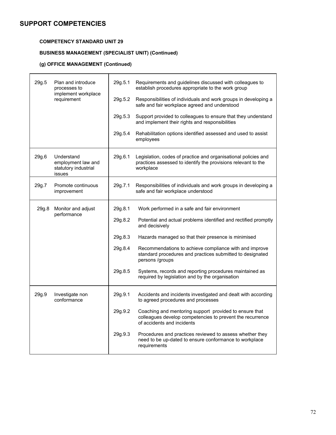ŕ

#### **COMPETENCY STANDARD UNIT 29**

#### **BUSINESS MANAGEMENT (SPECIALIST UNIT) (Continued)**

#### **(g) OFFICE MANAGEMENT (Continued)**

| 29g.5 | Plan and introduce<br>processes to<br>implement workplace          | 29g.5.1 | Requirements and guidelines discussed with colleagues to<br>establish procedures appropriate to the work group                                    |
|-------|--------------------------------------------------------------------|---------|---------------------------------------------------------------------------------------------------------------------------------------------------|
|       | requirement                                                        |         | Responsibilities of individuals and work groups in developing a<br>safe and fair workplace agreed and understood                                  |
|       |                                                                    | 29g.5.3 | Support provided to colleagues to ensure that they understand<br>and implement their rights and responsibilities                                  |
|       |                                                                    | 29g.5.4 | Rehabilitation options identified assessed and used to assist<br>employees                                                                        |
| 29g.6 | Understand<br>employment law and<br>statutory industrial<br>issues | 29g.6.1 | Legislation, codes of practice and organisational policies and<br>practices assessed to identify the provisions relevant to the<br>workplace      |
| 29g.7 | Promote continuous<br>improvement                                  | 29g.7.1 | Responsibilities of individuals and work groups in developing a<br>safe and fair workplace understood                                             |
| 29g.8 | Monitor and adjust<br>performance                                  | 29g.8.1 | Work performed in a safe and fair environment                                                                                                     |
|       |                                                                    | 29g.8.2 | Potential and actual problems identified and rectified promptly<br>and decisively                                                                 |
|       |                                                                    | 29g.8.3 | Hazards managed so that their presence is minimised                                                                                               |
|       |                                                                    | 29g.8.4 | Recommendations to achieve compliance with and improve<br>standard procedures and practices submitted to designated<br>persons /groups            |
|       |                                                                    | 29g.8.5 | Systems, records and reporting procedures maintained as<br>required by legislation and by the organisation                                        |
| 29g.9 | Investigate non<br>conformance                                     | 29g.9.1 | Accidents and incidents investigated and dealt with according<br>to agreed procedures and processes                                               |
|       |                                                                    | 29g.9.2 | Coaching and mentoring support provided to ensure that<br>colleagues develop competencies to prevent the recurrence<br>of accidents and incidents |
|       |                                                                    | 29g.9.3 | Procedures and practices reviewed to assess whether they<br>need to be up-dated to ensure conformance to workplace<br>requirements                |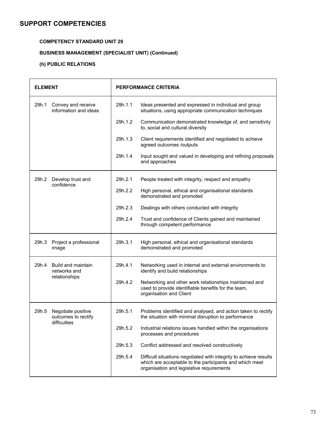#### **COMPETENCY STANDARD UNIT 29**

### **BUSINESS MANAGEMENT (SPECIALIST UNIT) (Continued)**

### **(h) PUBLIC RELATIONS**

| <b>ELEMENT</b>                                                     | <b>PERFORMANCE CRITERIA</b> |                                                                                                                                                                           |  |  |
|--------------------------------------------------------------------|-----------------------------|---------------------------------------------------------------------------------------------------------------------------------------------------------------------------|--|--|
| 29h.1<br>Convey and receive<br>information and ideas               | 29h.1.1                     | Ideas presented and expressed in individual and group<br>situations, using appropriate communication techniques                                                           |  |  |
|                                                                    | 29h.1.2                     | Communication demonstrated knowledge of, and sensitivity<br>to, social and cultural diversity                                                                             |  |  |
|                                                                    | 29h.1.3                     | Client requirements identified and negotiated to achieve<br>agreed outcomes /outputs                                                                                      |  |  |
|                                                                    | 29h.1.4                     | Input sought and valued in developing and refining proposals<br>and approaches                                                                                            |  |  |
| 29h.2<br>Develop trust and<br>confidence                           | 29h.2.1                     | People treated with integrity, respect and empathy                                                                                                                        |  |  |
|                                                                    | 29h.2.2                     | High personal, ethical and organisational standards<br>demonstrated and promoted                                                                                          |  |  |
|                                                                    | 29h.2.3                     | Dealings with others conducted with integrity                                                                                                                             |  |  |
|                                                                    | 29h.2.4                     | Trust and confidence of Clients gained and maintained<br>through competent performance                                                                                    |  |  |
| 29h.3<br>Project a professional<br>image                           | 29h.3.1                     | High personal, ethical and organisational standards<br>demonstrated and promoted                                                                                          |  |  |
| 29h.4<br>Build and maintain<br>networks and                        | 29h.4.1                     | Networking used in internal and external environments to<br>identify and build relationships                                                                              |  |  |
| relationships                                                      | 29h.4.2                     | Networking and other work relationships maintained and<br>used to provide identifiable benefits for the team,<br>organisation and Client                                  |  |  |
| 29h.5<br>Negotiate positive<br>outcomes to rectify<br>difficulties | 29h.5.1                     | Problems identified and analysed, and action taken to rectify<br>the situation with minimal disruption to performance                                                     |  |  |
|                                                                    | 29h.5.2                     | Industrial relations issues handled within the organisations<br>processes and procedures                                                                                  |  |  |
|                                                                    | 29h.5.3                     | Conflict addressed and resolved constructively                                                                                                                            |  |  |
|                                                                    | 29h.5.4                     | Difficult situations negotiated with integrity to achieve results<br>which are acceptable to the participants and which meet<br>organisation and legislative requirements |  |  |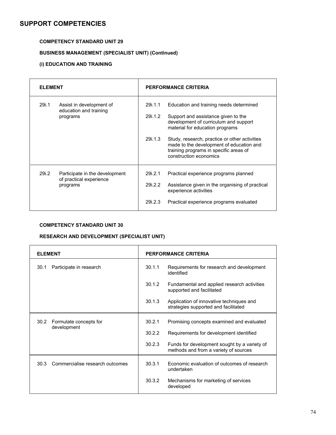#### **COMPETENCY STANDARD UNIT 29**

### **BUSINESS MANAGEMENT (SPECIALIST UNIT) (Continued)**

#### **(i) EDUCATION AND TRAINING**

| <b>FI FMFNT</b> |                                                                       | <b>PERFORMANCE CRITERIA</b>   |                                                                                                                                                                                                                                                                                                                             |  |
|-----------------|-----------------------------------------------------------------------|-------------------------------|-----------------------------------------------------------------------------------------------------------------------------------------------------------------------------------------------------------------------------------------------------------------------------------------------------------------------------|--|
| 29i.1           | Assist in development of<br>education and training<br>programs        | 29i.1.1<br>29i.1.2<br>29i.1.3 | Education and training needs determined<br>Support and assistance given to the<br>development of curriculum and support<br>material for education programs<br>Study, research, practice or other activities<br>made to the development of education and<br>training programs in specific areas of<br>construction economics |  |
| 29i.2           | Participate in the development<br>of practical experience<br>programs | 29i.2.1<br>29i.2.2<br>29i.2.3 | Practical experience programs planned<br>Assistance given in the organising of practical<br>experience activities<br>Practical experience programs evaluated                                                                                                                                                                |  |

#### **COMPETENCY STANDARD UNIT 30**

#### **RESEARCH AND DEVELOPMENT (SPECIALIST UNIT)**

| <b>ELEMENT</b>                          | PERFORMANCE CRITERIA |                                                                                       |  |
|-----------------------------------------|----------------------|---------------------------------------------------------------------------------------|--|
| 30.1<br>Participate in research         | 30.1.1               | Requirements for research and development<br>identified                               |  |
|                                         | 30.1.2               | Fundamental and applied research activities<br>supported and facilitated              |  |
|                                         | 30.1.3               | Application of innovative techniques and<br>strategies supported and facilitated      |  |
| 30.2<br>Formulate concepts for          | 30.2.1               | Promising concepts examined and evaluated                                             |  |
| development                             | 30.2.2               | Requirements for development identified                                               |  |
|                                         | 30.2.3               | Funds for development sought by a variety of<br>methods and from a variety of sources |  |
| 30.3<br>Commercialise research outcomes | 30.3.1               | Economic evaluation of outcomes of research<br>undertaken                             |  |
|                                         | 30.3.2               | Mechanisms for marketing of services<br>developed                                     |  |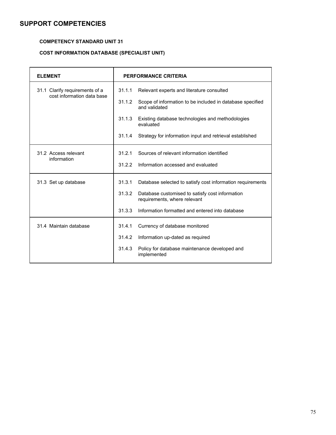#### **COMPETENCY STANDARD UNIT 31**

#### **COST INFORMATION DATABASE (SPECIALIST UNIT)**

| <b>ELEMENT</b>                      | <b>PERFORMANCE CRITERIA</b>                                                               |  |  |
|-------------------------------------|-------------------------------------------------------------------------------------------|--|--|
| 31.1 Clarify requirements of a      | 31.1.1<br>Relevant experts and literature consulted                                       |  |  |
| cost information data base          | 31.1.2<br>Scope of information to be included in database specified<br>and validated      |  |  |
|                                     | 31.1.3<br>Existing database technologies and methodologies<br>evaluated                   |  |  |
|                                     | 31.1.4<br>Strategy for information input and retrieval established                        |  |  |
| 31.2 Access relevant<br>information | Sources of relevant information identified<br>31.2.1                                      |  |  |
|                                     | 31.2.2<br>Information accessed and evaluated                                              |  |  |
| 31.3 Set up database                | 31.3.1<br>Database selected to satisfy cost information requirements                      |  |  |
|                                     | 31.3.2<br>Database customised to satisfy cost information<br>requirements, where relevant |  |  |
|                                     | Information formatted and entered into database<br>31.3.3                                 |  |  |
| 31.4 Maintain database              | 31.4.1<br>Currency of database monitored                                                  |  |  |
|                                     | 31.4.2<br>Information up-dated as required                                                |  |  |
|                                     | Policy for database maintenance developed and<br>31.4.3<br>implemented                    |  |  |